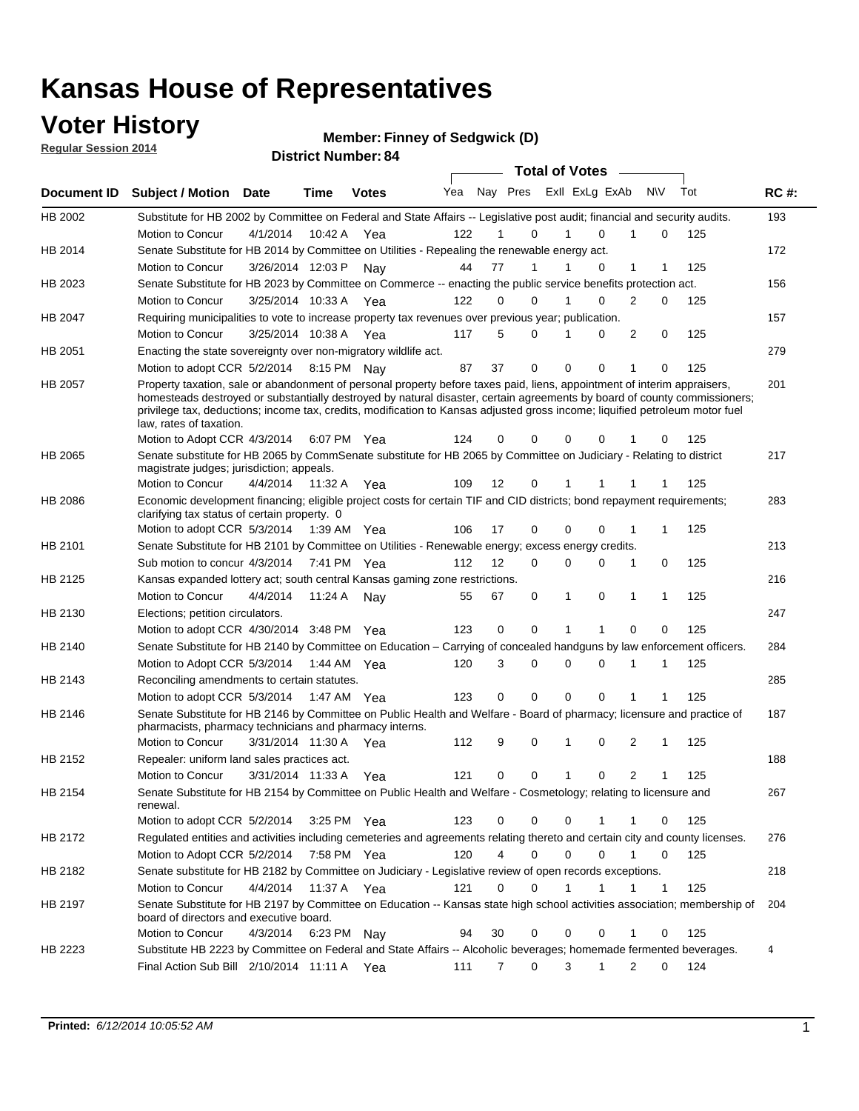### **Voter History**

**Regular Session 2014**

**Member: Finney of Sedgwick (D)** 

| noguidi ocoololi 4017 |                                                                                                                                                                                                                                                                                      |                       |         | <b>District Number: 84</b> |     |                |             |              |                         |              |   |     |             |
|-----------------------|--------------------------------------------------------------------------------------------------------------------------------------------------------------------------------------------------------------------------------------------------------------------------------------|-----------------------|---------|----------------------------|-----|----------------|-------------|--------------|-------------------------|--------------|---|-----|-------------|
|                       |                                                                                                                                                                                                                                                                                      |                       |         |                            |     |                |             |              | Total of Votes –        |              |   |     |             |
| Document ID           | <b>Subject / Motion Date</b>                                                                                                                                                                                                                                                         |                       | Time    | <b>Votes</b>               | Yea |                |             |              | Nay Pres ExII ExLg ExAb | <b>NV</b>    |   | Tot | <b>RC#:</b> |
| HB 2002               | Substitute for HB 2002 by Committee on Federal and State Affairs -- Legislative post audit; financial and security audits.                                                                                                                                                           |                       |         |                            |     |                |             |              |                         |              |   |     | 193         |
|                       | Motion to Concur                                                                                                                                                                                                                                                                     | 4/1/2014              | 10:42 A | Yea                        | 122 | 1              | $\Omega$    | $\mathbf{1}$ | 0                       |              | 0 | 125 |             |
| HB 2014               | Senate Substitute for HB 2014 by Committee on Utilities - Repealing the renewable energy act.                                                                                                                                                                                        |                       |         |                            |     |                |             |              |                         |              |   |     | 172         |
|                       | Motion to Concur                                                                                                                                                                                                                                                                     | 3/26/2014 12:03 P     |         | Nav                        | 44  | 77             | 1           | 1            | 0                       | $\mathbf{1}$ | 1 | 125 |             |
| HB 2023               | Senate Substitute for HB 2023 by Committee on Commerce -- enacting the public service benefits protection act.                                                                                                                                                                       |                       |         |                            |     |                |             |              |                         |              |   |     | 156         |
|                       | Motion to Concur                                                                                                                                                                                                                                                                     | 3/25/2014 10:33 A     |         | Yea                        | 122 | $\Omega$       | $\Omega$    | 1            | 0                       | 2            | 0 | 125 |             |
| <b>HB 2047</b>        | Requiring municipalities to vote to increase property tax revenues over previous year; publication.                                                                                                                                                                                  |                       |         |                            |     |                |             |              |                         |              |   |     | 157         |
|                       | Motion to Concur                                                                                                                                                                                                                                                                     | 3/25/2014 10:38 A Yea |         |                            | 117 | 5              | 0           | 1            | 0                       | 2            | 0 | 125 |             |
| HB 2051               | Enacting the state sovereignty over non-migratory wildlife act.                                                                                                                                                                                                                      |                       |         |                            |     |                |             |              |                         |              |   |     | 279         |
|                       | Motion to adopt CCR 5/2/2014 8:15 PM Nav                                                                                                                                                                                                                                             |                       |         |                            | 87  | 37             | 0           | $\mathbf 0$  | 0                       | 1            | 0 | 125 |             |
| HB 2057               | Property taxation, sale or abandonment of personal property before taxes paid, liens, appointment of interim appraisers,                                                                                                                                                             |                       |         |                            |     |                |             |              |                         |              |   |     | 201         |
|                       | homesteads destroyed or substantially destroyed by natural disaster, certain agreements by board of county commissioners;<br>privilege tax, deductions; income tax, credits, modification to Kansas adjusted gross income; liquified petroleum motor fuel<br>law, rates of taxation. |                       |         |                            |     |                |             |              |                         |              |   |     |             |
|                       | Motion to Adopt CCR 4/3/2014                                                                                                                                                                                                                                                         |                       |         | 6:07 PM Yea                | 124 | 0              | $\Omega$    | 0            | n                       |              | 0 | 125 |             |
| <b>HB 2065</b>        | Senate substitute for HB 2065 by CommSenate substitute for HB 2065 by Committee on Judiciary - Relating to district<br>magistrate judges; jurisdiction; appeals.                                                                                                                     |                       |         |                            |     |                |             |              |                         |              |   |     | 217         |
|                       | Motion to Concur                                                                                                                                                                                                                                                                     | 4/4/2014              | 11:32 A | Yea                        | 109 | 12             | 0           |              |                         |              |   | 125 |             |
| HB 2086               | Economic development financing; eligible project costs for certain TIF and CID districts; bond repayment requirements;<br>clarifying tax status of certain property. 0                                                                                                               |                       |         |                            |     |                |             |              |                         |              |   |     | 283         |
|                       | Motion to adopt CCR 5/3/2014 1:39 AM Yea                                                                                                                                                                                                                                             |                       |         |                            | 106 | 17             | $\Omega$    | $\Omega$     | $\Omega$                | 1            | 1 | 125 |             |
| HB 2101               | Senate Substitute for HB 2101 by Committee on Utilities - Renewable energy; excess energy credits.                                                                                                                                                                                   |                       |         |                            |     |                |             |              |                         |              |   |     | 213         |
|                       | Sub motion to concur 4/3/2014 7:41 PM Yea                                                                                                                                                                                                                                            |                       |         |                            | 112 | 12             | $\Omega$    | 0            | 0                       | 1            | 0 | 125 |             |
| HB 2125               | Kansas expanded lottery act; south central Kansas gaming zone restrictions.                                                                                                                                                                                                          |                       |         |                            |     |                |             |              |                         |              |   |     | 216         |
|                       | Motion to Concur                                                                                                                                                                                                                                                                     | 4/4/2014              |         | 11:24 A Nav                | 55  | 67             | 0           | 1            | 0                       | 1            | 1 | 125 |             |
| HB 2130               | Elections; petition circulators.                                                                                                                                                                                                                                                     |                       |         |                            |     |                |             |              |                         |              |   |     | 247         |
|                       | Motion to adopt CCR 4/30/2014 3:48 PM Yea                                                                                                                                                                                                                                            |                       |         |                            | 123 | 0              | $\mathbf 0$ | 1            | 1                       | 0            | 0 | 125 |             |
| HB 2140               | Senate Substitute for HB 2140 by Committee on Education – Carrying of concealed handguns by law enforcement officers.                                                                                                                                                                |                       |         |                            |     |                |             |              |                         |              |   |     | 284         |
|                       | Motion to Adopt CCR 5/3/2014 1:44 AM Yea                                                                                                                                                                                                                                             |                       |         |                            | 120 | 3              | 0           | 0            | $\Omega$                |              |   | 125 |             |
| HB 2143               | Reconciling amendments to certain statutes.                                                                                                                                                                                                                                          |                       |         |                            |     |                |             |              |                         |              |   |     | 285         |
|                       | Motion to adopt CCR 5/3/2014 1:47 AM Yea                                                                                                                                                                                                                                             |                       |         |                            | 123 | 0              | $\mathbf 0$ | $\Omega$     | $\Omega$                | 1            |   | 125 |             |
| HB 2146               | Senate Substitute for HB 2146 by Committee on Public Health and Welfare - Board of pharmacy; licensure and practice of                                                                                                                                                               |                       |         |                            |     |                |             |              |                         |              |   |     | 187         |
|                       | pharmacists, pharmacy technicians and pharmacy interns.                                                                                                                                                                                                                              |                       |         |                            |     |                |             |              |                         |              |   |     |             |
|                       | Motion to Concur                                                                                                                                                                                                                                                                     | 3/31/2014 11:30 A     |         | Yea                        | 112 | 9              | 0           | 1            | $\Omega$                | 2            | 1 | 125 |             |
| HB 2152               | Repealer: uniform land sales practices act.                                                                                                                                                                                                                                          |                       |         |                            |     |                |             |              |                         |              |   |     | 188         |
|                       | Motion to Concur                                                                                                                                                                                                                                                                     | 3/31/2014 11:33 A     |         | Yea                        | 121 | 0              | 0           | 1            | 0                       | 2            |   | 125 |             |
| HB 2154               | Senate Substitute for HB 2154 by Committee on Public Health and Welfare - Cosmetology; relating to licensure and<br>renewal.                                                                                                                                                         |                       |         |                            |     |                |             |              |                         |              |   |     | 267         |
|                       | Motion to adopt CCR 5/2/2014                                                                                                                                                                                                                                                         |                       |         | 3:25 PM Yea                | 123 | 0              | $\mathbf 0$ | 0            | 1                       | 1            | 0 | 125 |             |
| HB 2172               | Regulated entities and activities including cemeteries and agreements relating thereto and certain city and county licenses.                                                                                                                                                         |                       |         |                            |     |                |             |              |                         |              |   |     | 276         |
|                       | Motion to Adopt CCR 5/2/2014                                                                                                                                                                                                                                                         |                       |         | 7:58 PM Yea                | 120 | 4              | 0           | 0            | $\mathbf 0$             | 1            | 0 | 125 |             |
| HB 2182               | Senate substitute for HB 2182 by Committee on Judiciary - Legislative review of open records exceptions.                                                                                                                                                                             |                       |         |                            |     |                |             |              |                         |              |   |     | 218         |
|                       | Motion to Concur                                                                                                                                                                                                                                                                     | 4/4/2014              |         | 11:37 A Yea                | 121 | 0              | 0           | 1            | 1                       | 1            | 1 | 125 |             |
| HB 2197               | Senate Substitute for HB 2197 by Committee on Education -- Kansas state high school activities association; membership of<br>board of directors and executive board.                                                                                                                 |                       |         |                            |     |                |             |              |                         |              |   |     | 204         |
|                       | Motion to Concur                                                                                                                                                                                                                                                                     | 4/3/2014              |         | 6:23 PM Nay                | 94  | 30             | 0           | 0            | 0                       | 1            | 0 | 125 |             |
| HB 2223               | Substitute HB 2223 by Committee on Federal and State Affairs -- Alcoholic beverages; homemade fermented beverages.                                                                                                                                                                   |                       |         |                            |     |                |             |              |                         |              |   |     | 4           |
|                       | Final Action Sub Bill $2/10/2014$ 11:11 A Yea                                                                                                                                                                                                                                        |                       |         |                            | 111 | $\overline{7}$ | 0           | 3            | 1                       | 2            | 0 | 124 |             |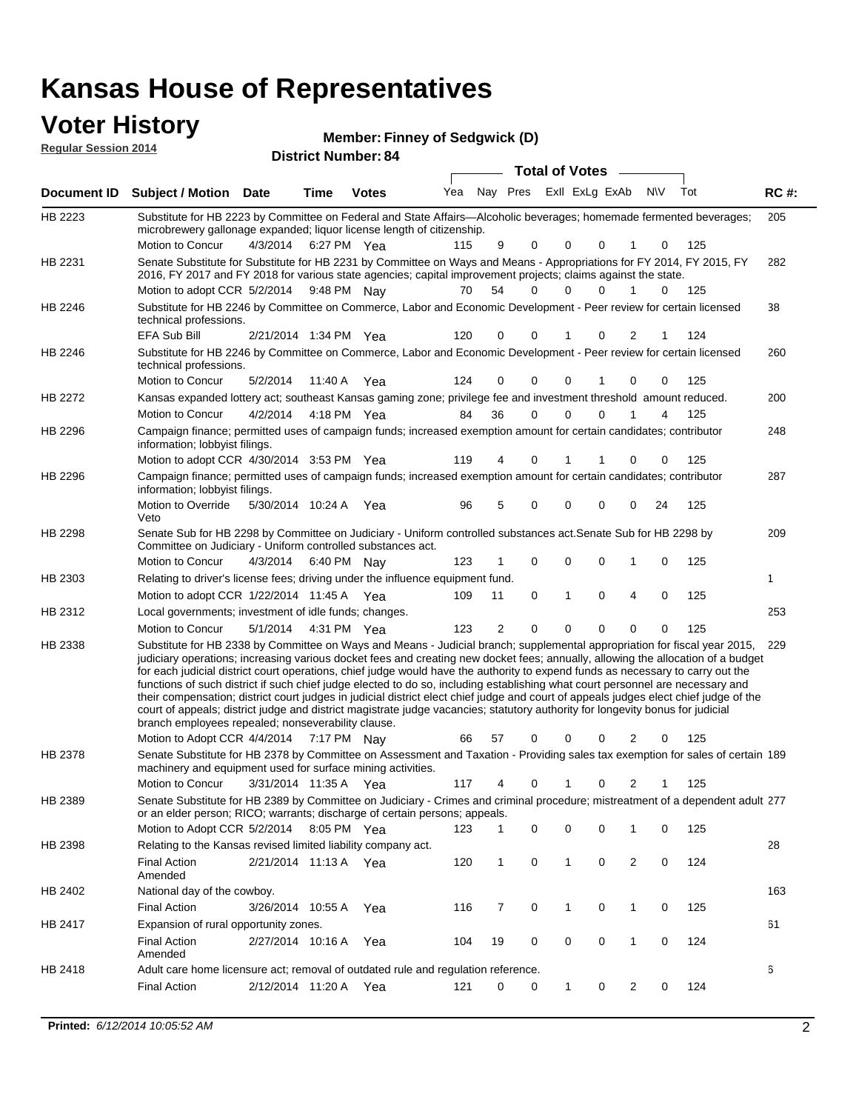| <b>Voter History</b>        |                                                                                                                                                                                                                                                                                                                                                                                                                                                                                                                                                                                                                                                                                                                                                                                                                                                                         |                       |      | <b>Member: Finney of Sedgwick (D)</b> |     |                |          |                       |             |                |             |     |             |
|-----------------------------|-------------------------------------------------------------------------------------------------------------------------------------------------------------------------------------------------------------------------------------------------------------------------------------------------------------------------------------------------------------------------------------------------------------------------------------------------------------------------------------------------------------------------------------------------------------------------------------------------------------------------------------------------------------------------------------------------------------------------------------------------------------------------------------------------------------------------------------------------------------------------|-----------------------|------|---------------------------------------|-----|----------------|----------|-----------------------|-------------|----------------|-------------|-----|-------------|
| <b>Regular Session 2014</b> |                                                                                                                                                                                                                                                                                                                                                                                                                                                                                                                                                                                                                                                                                                                                                                                                                                                                         |                       |      | <b>District Number: 84</b>            |     |                |          |                       |             |                |             |     |             |
|                             |                                                                                                                                                                                                                                                                                                                                                                                                                                                                                                                                                                                                                                                                                                                                                                                                                                                                         |                       |      |                                       |     |                |          | <b>Total of Votes</b> |             |                |             |     |             |
| Document ID                 | <b>Subject / Motion Date</b>                                                                                                                                                                                                                                                                                                                                                                                                                                                                                                                                                                                                                                                                                                                                                                                                                                            |                       | Time | <b>Votes</b>                          | Yea |                | Nay Pres | Exll ExLg ExAb        |             |                | <b>NV</b>   | Tot | <b>RC#:</b> |
| HB 2223                     | Substitute for HB 2223 by Committee on Federal and State Affairs-Alcoholic beverages; homemade fermented beverages;<br>microbrewery gallonage expanded; liquor license length of citizenship.<br>Motion to Concur                                                                                                                                                                                                                                                                                                                                                                                                                                                                                                                                                                                                                                                       | 4/3/2014              |      | 6:27 PM Yea                           | 115 | 9              | 0        | 0                     | 0           | 1              | 0           | 125 | 205         |
| HB 2231                     | Senate Substitute for Substitute for HB 2231 by Committee on Ways and Means - Appropriations for FY 2014, FY 2015, FY<br>2016, FY 2017 and FY 2018 for various state agencies; capital improvement projects; claims against the state.                                                                                                                                                                                                                                                                                                                                                                                                                                                                                                                                                                                                                                  |                       |      |                                       |     |                |          |                       |             |                |             |     | 282         |
|                             | Motion to adopt CCR 5/2/2014                                                                                                                                                                                                                                                                                                                                                                                                                                                                                                                                                                                                                                                                                                                                                                                                                                            |                       |      | 9:48 PM Nay                           | 70  | 54             | 0        | 0                     | 0           | 1              | $\Omega$    | 125 |             |
| HB 2246                     | Substitute for HB 2246 by Committee on Commerce, Labor and Economic Development - Peer review for certain licensed<br>technical professions.                                                                                                                                                                                                                                                                                                                                                                                                                                                                                                                                                                                                                                                                                                                            |                       |      |                                       |     |                |          |                       |             |                |             |     | 38          |
|                             | <b>EFA Sub Bill</b>                                                                                                                                                                                                                                                                                                                                                                                                                                                                                                                                                                                                                                                                                                                                                                                                                                                     | 2/21/2014 1:34 PM Yea |      |                                       | 120 | 0              | 0        | 1                     | 0           | 2              |             | 124 |             |
| HB 2246                     | Substitute for HB 2246 by Committee on Commerce, Labor and Economic Development - Peer review for certain licensed<br>technical professions.                                                                                                                                                                                                                                                                                                                                                                                                                                                                                                                                                                                                                                                                                                                            |                       |      |                                       |     |                |          |                       |             |                |             |     | 260         |
|                             | Motion to Concur                                                                                                                                                                                                                                                                                                                                                                                                                                                                                                                                                                                                                                                                                                                                                                                                                                                        | 5/2/2014              |      | 11:40 A Yea                           | 124 | 0              | 0        | 0                     |             | 0              | 0           | 125 |             |
| HB 2272                     | Kansas expanded lottery act; southeast Kansas gaming zone; privilege fee and investment threshold amount reduced.                                                                                                                                                                                                                                                                                                                                                                                                                                                                                                                                                                                                                                                                                                                                                       |                       |      |                                       |     |                |          |                       |             |                |             |     | 200         |
|                             | Motion to Concur                                                                                                                                                                                                                                                                                                                                                                                                                                                                                                                                                                                                                                                                                                                                                                                                                                                        | 4/2/2014              |      | 4:18 PM Yea                           | 84  | 36             | $\Omega$ | 0                     | $\mathbf 0$ | 1              | 4           | 125 |             |
| HB 2296                     | Campaign finance; permitted uses of campaign funds; increased exemption amount for certain candidates; contributor<br>information; lobbyist filings.                                                                                                                                                                                                                                                                                                                                                                                                                                                                                                                                                                                                                                                                                                                    |                       |      |                                       |     |                |          |                       |             |                |             |     | 248         |
|                             | Motion to adopt CCR 4/30/2014 3:53 PM Yea                                                                                                                                                                                                                                                                                                                                                                                                                                                                                                                                                                                                                                                                                                                                                                                                                               |                       |      |                                       | 119 | 4              | 0        | 1                     |             | 0              | 0           | 125 |             |
| HB 2296                     | Campaign finance; permitted uses of campaign funds; increased exemption amount for certain candidates; contributor<br>information; lobbyist filings.                                                                                                                                                                                                                                                                                                                                                                                                                                                                                                                                                                                                                                                                                                                    |                       |      |                                       |     |                |          |                       |             |                |             |     | 287         |
|                             | Motion to Override<br>Veto                                                                                                                                                                                                                                                                                                                                                                                                                                                                                                                                                                                                                                                                                                                                                                                                                                              | 5/30/2014 10:24 A Yea |      |                                       | 96  | 5              | 0        | 0                     | 0           | 0              | 24          | 125 |             |
| HB 2298                     | Senate Sub for HB 2298 by Committee on Judiciary - Uniform controlled substances act. Senate Sub for HB 2298 by<br>Committee on Judiciary - Uniform controlled substances act.                                                                                                                                                                                                                                                                                                                                                                                                                                                                                                                                                                                                                                                                                          |                       |      |                                       |     |                |          |                       |             |                |             |     | 209         |
|                             | Motion to Concur                                                                                                                                                                                                                                                                                                                                                                                                                                                                                                                                                                                                                                                                                                                                                                                                                                                        | 4/3/2014              |      | 6:40 PM Nay                           | 123 |                | 0        | 0                     | 0           | 1              | 0           | 125 |             |
| HB 2303                     | Relating to driver's license fees; driving under the influence equipment fund.                                                                                                                                                                                                                                                                                                                                                                                                                                                                                                                                                                                                                                                                                                                                                                                          |                       |      |                                       |     |                |          |                       |             |                |             |     | 1           |
|                             | Motion to adopt CCR 1/22/2014 11:45 A Yea                                                                                                                                                                                                                                                                                                                                                                                                                                                                                                                                                                                                                                                                                                                                                                                                                               |                       |      |                                       | 109 | 11             | 0        | 1                     | $\mathbf 0$ | $\overline{4}$ | $\mathbf 0$ | 125 |             |
| HB 2312                     | Local governments; investment of idle funds; changes.                                                                                                                                                                                                                                                                                                                                                                                                                                                                                                                                                                                                                                                                                                                                                                                                                   |                       |      |                                       |     |                |          |                       |             |                |             |     | 253         |
|                             | Motion to Concur                                                                                                                                                                                                                                                                                                                                                                                                                                                                                                                                                                                                                                                                                                                                                                                                                                                        | 5/1/2014              |      | 4:31 PM Yea                           | 123 | $\overline{2}$ | $\Omega$ | 0                     | $\Omega$    | $\Omega$       | $\Omega$    | 125 |             |
| HB 2338                     | Substitute for HB 2338 by Committee on Ways and Means - Judicial branch; supplemental appropriation for fiscal year 2015, 229<br>judiciary operations; increasing various docket fees and creating new docket fees; annually, allowing the allocation of a budget<br>for each judicial district court operations, chief judge would have the authority to expend funds as necessary to carry out the<br>functions of such district if such chief judge elected to do so, including establishing what court personnel are necessary and<br>their compensation; district court judges in judicial district elect chief judge and court of appeals judges elect chief judge of the<br>court of appeals; district judge and district magistrate judge vacancies; statutory authority for longevity bonus for judicial<br>branch employees repealed; nonseverability clause. |                       |      |                                       |     |                |          |                       |             |                |             |     |             |
|                             | Motion to Adopt CCR 4/4/2014                                                                                                                                                                                                                                                                                                                                                                                                                                                                                                                                                                                                                                                                                                                                                                                                                                            |                       |      | 7:17 PM Nay                           | 66  | 57             | 0        | 0                     | 0           | 2              | 0           | 125 |             |
| HB 2378                     | Senate Substitute for HB 2378 by Committee on Assessment and Taxation - Providing sales tax exemption for sales of certain 189<br>machinery and equipment used for surface mining activities.                                                                                                                                                                                                                                                                                                                                                                                                                                                                                                                                                                                                                                                                           |                       |      |                                       |     |                |          |                       |             |                |             |     |             |
|                             | Motion to Concur                                                                                                                                                                                                                                                                                                                                                                                                                                                                                                                                                                                                                                                                                                                                                                                                                                                        | 3/31/2014 11:35 A Yea |      |                                       | 117 | 4              | 0        | 1                     | 0           | 2              | 1           | 125 |             |
| HB 2389                     | Senate Substitute for HB 2389 by Committee on Judiciary - Crimes and criminal procedure; mistreatment of a dependent adult 277<br>or an elder person; RICO; warrants; discharge of certain persons; appeals.                                                                                                                                                                                                                                                                                                                                                                                                                                                                                                                                                                                                                                                            |                       |      |                                       |     |                |          |                       |             |                |             |     |             |
|                             | Motion to Adopt CCR 5/2/2014 8:05 PM Yea                                                                                                                                                                                                                                                                                                                                                                                                                                                                                                                                                                                                                                                                                                                                                                                                                                |                       |      |                                       | 123 | 1              | 0        | 0                     | 0           | 1              | 0           | 125 |             |
| HB 2398                     | Relating to the Kansas revised limited liability company act.                                                                                                                                                                                                                                                                                                                                                                                                                                                                                                                                                                                                                                                                                                                                                                                                           |                       |      |                                       |     |                |          |                       |             |                |             |     | 28          |
|                             | <b>Final Action</b><br>Amended                                                                                                                                                                                                                                                                                                                                                                                                                                                                                                                                                                                                                                                                                                                                                                                                                                          | 2/21/2014 11:13 A Yea |      |                                       | 120 | 1              | 0        | $\mathbf{1}$          | 0           | $\overline{2}$ | 0           | 124 |             |
| HB 2402                     | National day of the cowboy.                                                                                                                                                                                                                                                                                                                                                                                                                                                                                                                                                                                                                                                                                                                                                                                                                                             |                       |      |                                       |     |                |          |                       |             |                |             |     | 163         |

Final Action 3/26/2014 10:55 A Yea 116 7 0 1 0 125 HB 2402 61 2/27/2014 Final Action Yea 124 10:16 A 104 19 0 0 10 0 HB 2417 Amended Expansion of rural opportunity zones. 6 2/12/2014 Final Action Yea 124 11:20 A 121 0 0 0 20 1 HB 2418 Adult care home licensure act; removal of outdated rule and regulation reference.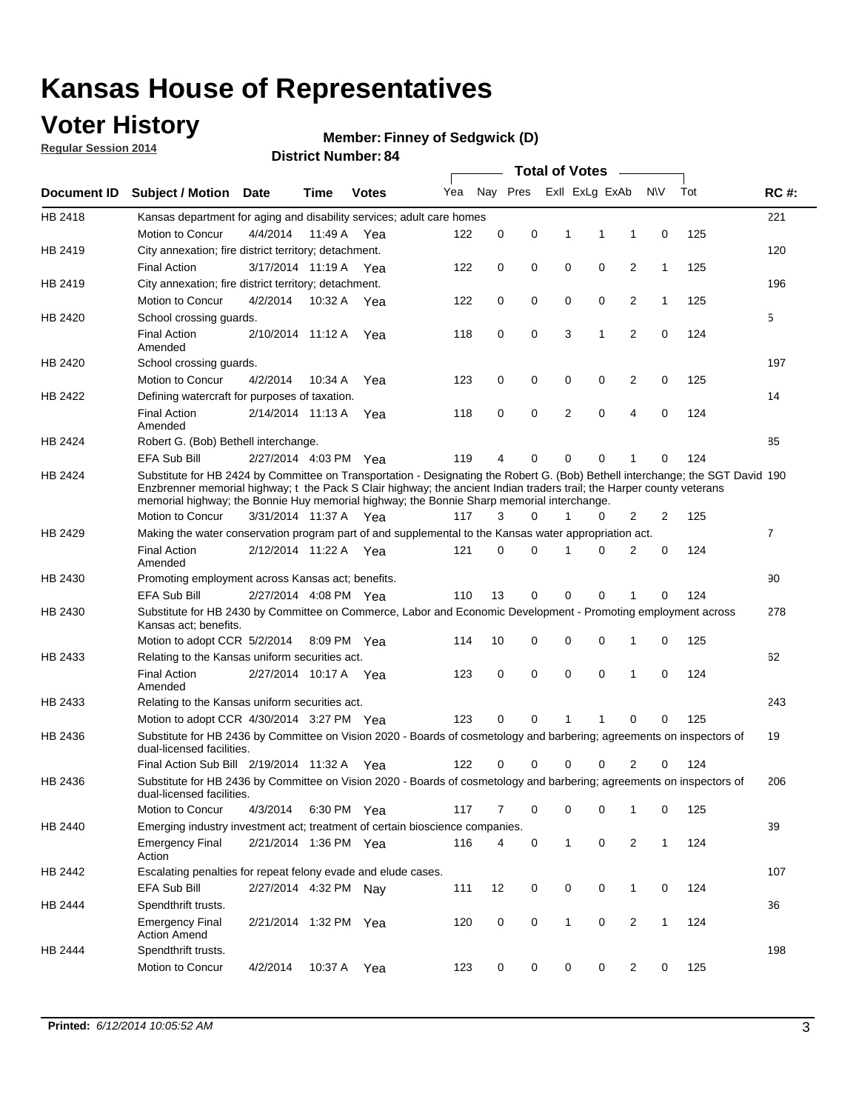### **Voter History**

**Regular Session 2014**

#### **Member: Finney of Sedgwick (D)**

|                    |                                                                                                                                                                                                                                                                                                                                                      |                       |             | <b>DISTRICT MAILINGL. 04</b> |     |          |          |              | Total of Votes –        |                |              |     |                |
|--------------------|------------------------------------------------------------------------------------------------------------------------------------------------------------------------------------------------------------------------------------------------------------------------------------------------------------------------------------------------------|-----------------------|-------------|------------------------------|-----|----------|----------|--------------|-------------------------|----------------|--------------|-----|----------------|
| <b>Document ID</b> | <b>Subject / Motion</b>                                                                                                                                                                                                                                                                                                                              | Date                  | Time        | <b>Votes</b>                 | Yea |          |          |              | Nay Pres ExII ExLg ExAb |                | <b>NV</b>    | Tot | <b>RC#:</b>    |
| HB 2418            | Kansas department for aging and disability services; adult care homes                                                                                                                                                                                                                                                                                |                       |             |                              |     |          |          |              |                         |                |              |     | 221            |
|                    | Motion to Concur                                                                                                                                                                                                                                                                                                                                     | 4/4/2014              | 11:49 A     | Yea                          | 122 | 0        | 0        | 1            | 1                       | 1              | 0            | 125 |                |
| HB 2419            | City annexation; fire district territory; detachment.                                                                                                                                                                                                                                                                                                |                       |             |                              |     |          |          |              |                         |                |              |     | 120            |
|                    | <b>Final Action</b>                                                                                                                                                                                                                                                                                                                                  | 3/17/2014 11:19 A     |             | Yea                          | 122 | 0        | 0        | 0            | 0                       | 2              | 1            | 125 |                |
| HB 2419            | City annexation; fire district territory; detachment.                                                                                                                                                                                                                                                                                                |                       |             |                              |     |          |          |              |                         |                |              |     | 196            |
|                    | Motion to Concur                                                                                                                                                                                                                                                                                                                                     | 4/2/2014              | 10:32 A     | Yea                          | 122 | 0        | 0        | 0            | 0                       | 2              | $\mathbf{1}$ | 125 |                |
| HB 2420            | School crossing guards.                                                                                                                                                                                                                                                                                                                              |                       |             |                              |     |          |          |              |                         |                |              |     | 5              |
|                    | <b>Final Action</b><br>Amended                                                                                                                                                                                                                                                                                                                       | 2/10/2014 11:12 A     |             | Yea                          | 118 | 0        | 0        | 3            | 1                       | $\overline{2}$ | 0            | 124 |                |
| HB 2420            | School crossing guards.                                                                                                                                                                                                                                                                                                                              |                       |             |                              |     |          |          |              |                         |                |              |     | 197            |
|                    | Motion to Concur                                                                                                                                                                                                                                                                                                                                     | 4/2/2014              | 10:34 A     | Yea                          | 123 | 0        | 0        | 0            | 0                       | 2              | 0            | 125 |                |
| HB 2422            | Defining watercraft for purposes of taxation.                                                                                                                                                                                                                                                                                                        |                       |             |                              |     |          |          |              |                         |                |              |     | 14             |
|                    | <b>Final Action</b><br>Amended                                                                                                                                                                                                                                                                                                                       | 2/14/2014 11:13 A     |             | Yea                          | 118 | 0        | 0        | 2            | 0                       | 4              | 0            | 124 |                |
| HB 2424            | Robert G. (Bob) Bethell interchange.                                                                                                                                                                                                                                                                                                                 |                       |             |                              |     |          |          |              |                         |                |              |     | 85             |
|                    | <b>EFA Sub Bill</b>                                                                                                                                                                                                                                                                                                                                  | 2/27/2014 4:03 PM Yea |             |                              | 119 | 4        | 0        | 0            | 0                       | 1              | 0            | 124 |                |
| HB 2424            | Substitute for HB 2424 by Committee on Transportation - Designating the Robert G. (Bob) Bethell interchange; the SGT David 190<br>Enzbrenner memorial highway; t the Pack S Clair highway; the ancient Indian traders trail; the Harper county veterans<br>memorial highway; the Bonnie Huy memorial highway; the Bonnie Sharp memorial interchange. |                       |             |                              |     |          |          |              |                         |                |              |     |                |
|                    | Motion to Concur                                                                                                                                                                                                                                                                                                                                     | 3/31/2014 11:37 A Yea |             |                              | 117 | 3        | $\Omega$ | 1            | 0                       | 2              | 2            | 125 |                |
| HB 2429            | Making the water conservation program part of and supplemental to the Kansas water appropriation act.                                                                                                                                                                                                                                                |                       |             |                              |     |          |          |              |                         |                |              |     | $\overline{7}$ |
|                    | <b>Final Action</b><br>Amended                                                                                                                                                                                                                                                                                                                       | 2/12/2014 11:22 A Yea |             |                              | 121 | $\Omega$ | 0        | 1            | 0                       | 2              | 0            | 124 |                |
| HB 2430            | Promoting employment across Kansas act; benefits.                                                                                                                                                                                                                                                                                                    |                       |             |                              |     |          |          |              |                         |                |              |     | 90             |
|                    | <b>EFA Sub Bill</b>                                                                                                                                                                                                                                                                                                                                  | 2/27/2014 4:08 PM Yea |             |                              | 110 | 13       | 0        | 0            | 0                       |                | 0            | 124 |                |
| HB 2430            | Substitute for HB 2430 by Committee on Commerce, Labor and Economic Development - Promoting employment across<br>Kansas act; benefits.                                                                                                                                                                                                               |                       |             |                              |     |          |          |              |                         |                |              |     | 278            |
|                    | Motion to adopt CCR 5/2/2014                                                                                                                                                                                                                                                                                                                         |                       | 8:09 PM Yea |                              | 114 | 10       | 0        | 0            | 0                       | 1              | 0            | 125 |                |
| HB 2433            | Relating to the Kansas uniform securities act.                                                                                                                                                                                                                                                                                                       |                       |             |                              |     |          |          |              |                         |                |              |     | 62             |
|                    | <b>Final Action</b><br>Amended                                                                                                                                                                                                                                                                                                                       | 2/27/2014 10:17 A Yea |             |                              | 123 | 0        | 0        | $\mathbf 0$  | 0                       | 1              | $\mathbf 0$  | 124 |                |
| HB 2433            | Relating to the Kansas uniform securities act.                                                                                                                                                                                                                                                                                                       |                       |             |                              |     |          |          |              |                         |                |              |     | 243            |
|                    | Motion to adopt CCR 4/30/2014 3:27 PM Yea                                                                                                                                                                                                                                                                                                            |                       |             |                              | 123 | $\Omega$ | $\Omega$ | 1            | 1                       | 0              | 0            | 125 |                |
| HB 2436            | Substitute for HB 2436 by Committee on Vision 2020 - Boards of cosmetology and barbering; agreements on inspectors of<br>dual-licensed facilities.                                                                                                                                                                                                   |                       |             |                              |     |          |          |              |                         |                |              |     | 19             |
|                    | Final Action Sub Bill 2/19/2014 11:32 A                                                                                                                                                                                                                                                                                                              |                       |             | Yea                          | 122 |          | 0        | 0            | 0                       | 2              | 0            | 124 |                |
| HB 2436            | Substitute for HB 2436 by Committee on Vision 2020 - Boards of cosmetology and barbering; agreements on inspectors of<br>dual-licensed facilities.                                                                                                                                                                                                   |                       |             |                              |     |          |          |              |                         |                |              |     | 206            |
|                    | Motion to Concur                                                                                                                                                                                                                                                                                                                                     | 4/3/2014              | 6:30 PM Yea |                              | 117 | 7        | 0        | 0            | 0                       | 1              | 0            | 125 |                |
| HB 2440            | Emerging industry investment act; treatment of certain bioscience companies.                                                                                                                                                                                                                                                                         |                       |             |                              |     |          |          |              |                         |                |              |     | 39             |
|                    | <b>Emergency Final</b><br>Action                                                                                                                                                                                                                                                                                                                     | 2/21/2014 1:36 PM Yea |             |                              | 116 | 4        | 0        | 1            | $\mathsf 0$             | $\overline{2}$ | $\mathbf{1}$ | 124 |                |
| HB 2442            | Escalating penalties for repeat felony evade and elude cases.                                                                                                                                                                                                                                                                                        |                       |             |                              |     |          |          |              |                         |                |              |     | 107            |
|                    | EFA Sub Bill                                                                                                                                                                                                                                                                                                                                         | 2/27/2014 4:32 PM Nav |             |                              | 111 | 12       | 0        | 0            | 0                       | $\mathbf{1}$   | 0            | 124 |                |
| HB 2444            | Spendthrift trusts.                                                                                                                                                                                                                                                                                                                                  |                       |             |                              |     |          |          |              |                         |                |              |     | 36             |
|                    | <b>Emergency Final</b><br><b>Action Amend</b>                                                                                                                                                                                                                                                                                                        | 2/21/2014 1:32 PM Yea |             |                              | 120 | 0        | 0        | $\mathbf{1}$ | 0                       | $\overline{c}$ | $\mathbf{1}$ | 124 |                |
| HB 2444            | Spendthrift trusts.                                                                                                                                                                                                                                                                                                                                  |                       |             |                              |     |          |          |              |                         |                |              |     | 198            |
|                    | Motion to Concur                                                                                                                                                                                                                                                                                                                                     | 4/2/2014              | 10:37 A Yea |                              | 123 | 0        | 0        | 0            | 0                       | $\overline{2}$ | 0            | 125 |                |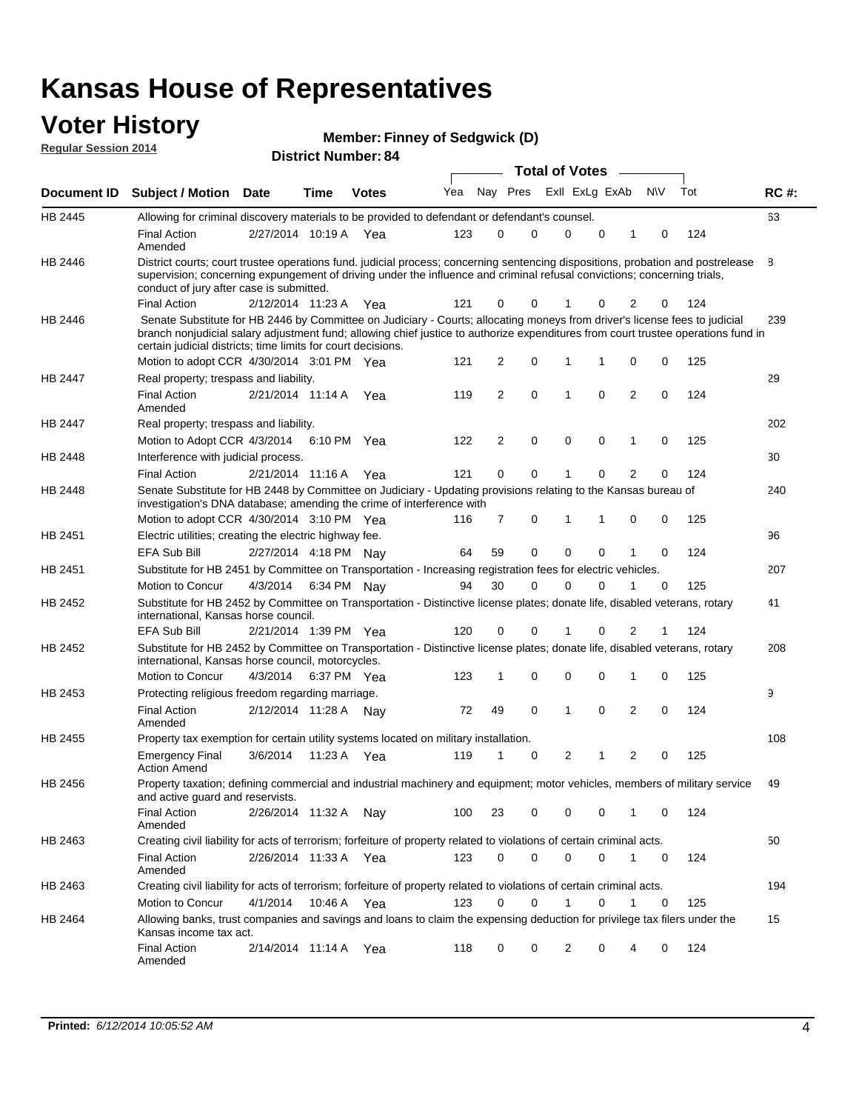#### **Voter History Regular Session 2014**

| <b>Member: Finney of Sedgwick (D)</b>                                                                                                                                                                                                    |
|------------------------------------------------------------------------------------------------------------------------------------------------------------------------------------------------------------------------------------------|
| <b>B</b> <i>Little Little Company</i> and Company and Company and Company and Company and Company and Company and Company and Company and Company and Company and Company and Company and Company and Company and Company and Company an |

| noguidi ocoololi 4017 |                                                                                                                                                                                                                                                                                                                                                                              |                       |             | <b>District Number: 84</b> |     |    |                     | <b>Total of Votes</b> |                  |             |     |             |
|-----------------------|------------------------------------------------------------------------------------------------------------------------------------------------------------------------------------------------------------------------------------------------------------------------------------------------------------------------------------------------------------------------------|-----------------------|-------------|----------------------------|-----|----|---------------------|-----------------------|------------------|-------------|-----|-------------|
|                       |                                                                                                                                                                                                                                                                                                                                                                              |                       |             |                            | Yea |    | Nay Pres            |                       | Exll ExLg ExAb   | <b>NV</b>   | Tot |             |
| Document ID           | Subject / Motion Date                                                                                                                                                                                                                                                                                                                                                        |                       | <b>Time</b> | <b>Votes</b>               |     |    |                     |                       |                  |             |     | <b>RC#:</b> |
| HB 2445               | Allowing for criminal discovery materials to be provided to defendant or defendant's counsel.                                                                                                                                                                                                                                                                                |                       |             |                            |     |    |                     |                       |                  |             |     | 63          |
|                       | <b>Final Action</b><br>Amended                                                                                                                                                                                                                                                                                                                                               | 2/27/2014 10:19 A Yea |             |                            | 123 | 0  | 0                   | $\mathbf 0$           | $\mathbf 0$<br>1 | 0           | 124 |             |
| HB 2446               | District courts; court trustee operations fund. judicial process; concerning sentencing dispositions, probation and postrelease<br>supervision; concerning expungement of driving under the influence and criminal refusal convictions; concerning trials,<br>conduct of jury after case is submitted.                                                                       |                       |             |                            |     |    |                     |                       |                  |             |     | 8           |
|                       | <b>Final Action</b>                                                                                                                                                                                                                                                                                                                                                          | 2/12/2014 11:23 A     |             | - Yea                      | 121 | 0  | 0                   |                       | 2                | 0           | 124 |             |
| HB 2446               | Senate Substitute for HB 2446 by Committee on Judiciary - Courts; allocating moneys from driver's license fees to judicial<br>branch nonjudicial salary adjustment fund; allowing chief justice to authorize expenditures from court trustee operations fund in<br>certain judicial districts; time limits for court decisions.<br>Motion to adopt CCR 4/30/2014 3:01 PM Yea |                       |             |                            | 121 |    | 0<br>2              | 1                     | 1<br>0           | 0           | 125 | 239         |
| HB 2447               | Real property; trespass and liability.                                                                                                                                                                                                                                                                                                                                       |                       |             |                            |     |    |                     |                       |                  |             |     | 29          |
|                       | <b>Final Action</b><br>Amended                                                                                                                                                                                                                                                                                                                                               | 2/21/2014 11:14 A     |             | Yea                        | 119 |    | $\overline{2}$<br>0 | 1                     | $\mathbf 0$<br>2 | 0           | 124 |             |
| HB 2447               | Real property; trespass and liability.                                                                                                                                                                                                                                                                                                                                       |                       |             |                            |     |    |                     |                       |                  |             |     | 202         |
|                       | Motion to Adopt CCR 4/3/2014 6:10 PM Yea                                                                                                                                                                                                                                                                                                                                     |                       |             |                            | 122 |    | 0<br>2              | $\mathbf 0$           | 0<br>1           | 0           | 125 |             |
| HB 2448               | Interference with judicial process.                                                                                                                                                                                                                                                                                                                                          |                       |             |                            |     |    |                     |                       |                  |             |     | 30          |
|                       | <b>Final Action</b>                                                                                                                                                                                                                                                                                                                                                          | 2/21/2014 11:16 A     |             | Yea                        | 121 |    | 0<br>0              |                       | 2<br>0           | 0           | 124 |             |
| HB 2448               | Senate Substitute for HB 2448 by Committee on Judiciary - Updating provisions relating to the Kansas bureau of<br>investigation's DNA database; amending the crime of interference with                                                                                                                                                                                      |                       |             |                            |     |    |                     |                       |                  |             |     | 240         |
|                       | Motion to adopt CCR 4/30/2014 3:10 PM Yea                                                                                                                                                                                                                                                                                                                                    |                       |             |                            | 116 |    | 7<br>0              | 1                     | 1<br>0           | 0           | 125 |             |
| HB 2451               | Electric utilities; creating the electric highway fee.<br><b>EFA Sub Bill</b>                                                                                                                                                                                                                                                                                                | 2/27/2014 4:18 PM Nav |             |                            | 64  | 59 | 0                   | $\mathbf 0$           | 0<br>1           | 0           | 124 | 96          |
| HB 2451               | Substitute for HB 2451 by Committee on Transportation - Increasing registration fees for electric vehicles.                                                                                                                                                                                                                                                                  |                       |             |                            |     |    |                     |                       |                  |             |     | 207         |
|                       | Motion to Concur                                                                                                                                                                                                                                                                                                                                                             | 4/3/2014              |             | 6:34 PM Nay                | 94  | 30 | 0                   | $\Omega$              | 0<br>1           | 0           | 125 |             |
| HB 2452               | Substitute for HB 2452 by Committee on Transportation - Distinctive license plates; donate life, disabled veterans, rotary<br>international, Kansas horse council.                                                                                                                                                                                                           |                       |             |                            |     |    |                     |                       |                  |             |     | 41          |
|                       | <b>EFA Sub Bill</b>                                                                                                                                                                                                                                                                                                                                                          | 2/21/2014 1:39 PM Yea |             |                            | 120 | 0  | 0                   | 1                     | 2<br>0           |             | 124 |             |
| HB 2452               | Substitute for HB 2452 by Committee on Transportation - Distinctive license plates; donate life, disabled veterans, rotary<br>international, Kansas horse council, motorcycles.                                                                                                                                                                                              |                       |             |                            |     |    |                     |                       |                  |             |     | 208         |
|                       | Motion to Concur                                                                                                                                                                                                                                                                                                                                                             | 4/3/2014              |             | 6:37 PM Yea                | 123 | 1  | 0                   | 0                     | $\mathbf 0$<br>1 | 0           | 125 |             |
| HB 2453               | Protecting religious freedom regarding marriage.                                                                                                                                                                                                                                                                                                                             |                       |             |                            |     |    |                     |                       |                  |             |     | 9           |
|                       | <b>Final Action</b><br>Amended                                                                                                                                                                                                                                                                                                                                               | 2/12/2014 11:28 A     |             | Nav                        | 72  | 49 | 0                   | 1                     | 0<br>2           | 0           | 124 |             |
| HB 2455               | Property tax exemption for certain utility systems located on military installation.                                                                                                                                                                                                                                                                                         |                       |             |                            |     |    |                     |                       |                  |             |     | 108         |
|                       | <b>Emergency Final</b><br><b>Action Amend</b>                                                                                                                                                                                                                                                                                                                                | 3/6/2014              | 11:23 A     | Yea                        | 119 | 1  | 0                   | $\overline{2}$        | 2<br>1           | 0           | 125 |             |
| HB 2456               | Property taxation; defining commercial and industrial machinery and equipment; motor vehicles, members of military service<br>and active quard and reservists.                                                                                                                                                                                                               |                       |             |                            |     |    |                     |                       |                  |             |     | 49          |
|                       | <b>Final Action</b><br>Amended                                                                                                                                                                                                                                                                                                                                               | 2/26/2014 11:32 A Nay |             |                            | 100 | 23 | 0                   | 0                     | 0<br>1           | 0           | 124 |             |
| HB 2463               | Creating civil liability for acts of terrorism; forfeiture of property related to violations of certain criminal acts.                                                                                                                                                                                                                                                       |                       |             |                            |     |    |                     |                       |                  |             |     | 50          |
|                       | <b>Final Action</b><br>Amended                                                                                                                                                                                                                                                                                                                                               | 2/26/2014 11:33 A Yea |             |                            | 123 |    | 0<br>0              | $\mathbf 0$           | $\mathbf 0$<br>1 | $\mathbf 0$ | 124 |             |
| HB 2463               | Creating civil liability for acts of terrorism; forfeiture of property related to violations of certain criminal acts.                                                                                                                                                                                                                                                       |                       |             |                            |     |    |                     |                       |                  |             |     | 194         |
|                       | Motion to Concur                                                                                                                                                                                                                                                                                                                                                             | 4/1/2014              |             | 10:46 A Yea                | 123 | 0  | 0                   | 1                     | 0                | 0           | 125 |             |
| HB 2464               | Allowing banks, trust companies and savings and loans to claim the expensing deduction for privilege tax filers under the<br>Kansas income tax act.                                                                                                                                                                                                                          |                       |             |                            |     |    |                     |                       |                  |             |     | 15          |
|                       | <b>Final Action</b><br>Amended                                                                                                                                                                                                                                                                                                                                               | 2/14/2014 11:14 A Yea |             |                            | 118 |    | 0<br>0              | 2                     | 0<br>4           | 0           | 124 |             |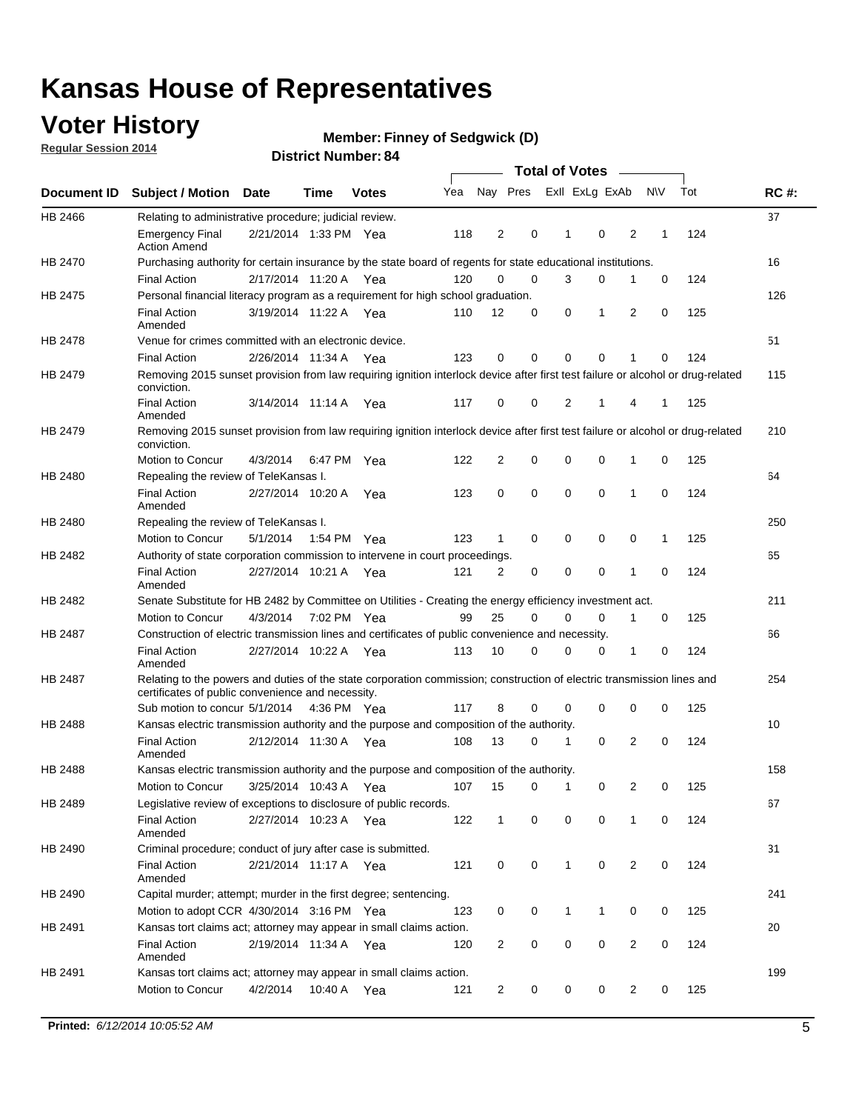### **Voter History**

**Regular Session 2014**

#### **Member: Finney of Sedgwick (D)**

|                    |                                                                                                                                                                             |                       |             |              |     |                |          | <b>Total of Votes</b> |              |                |                |              |     |             |
|--------------------|-----------------------------------------------------------------------------------------------------------------------------------------------------------------------------|-----------------------|-------------|--------------|-----|----------------|----------|-----------------------|--------------|----------------|----------------|--------------|-----|-------------|
| <b>Document ID</b> | <b>Subject / Motion Date</b>                                                                                                                                                |                       | Time        | <b>Votes</b> | Yea |                | Nay Pres |                       |              | Exll ExLg ExAb |                | <b>NV</b>    | Tot | <b>RC#:</b> |
| HB 2466            | Relating to administrative procedure; judicial review.                                                                                                                      |                       |             |              |     |                |          |                       |              |                |                |              |     | 37          |
|                    | <b>Emergency Final</b><br><b>Action Amend</b>                                                                                                                               | 2/21/2014 1:33 PM Yea |             |              | 118 | 2              | 0        |                       | 1            | 0              | 2              | 1            | 124 |             |
| HB 2470            | Purchasing authority for certain insurance by the state board of regents for state educational institutions.                                                                |                       |             |              |     |                |          |                       |              |                |                |              |     | 16          |
|                    | <b>Final Action</b>                                                                                                                                                         | 2/17/2014 11:20 A Yea |             |              | 120 | 0              | 0        |                       | 3            | 0              | 1              | 0            | 124 |             |
| HB 2475            | Personal financial literacy program as a requirement for high school graduation.                                                                                            |                       |             |              |     |                |          |                       |              |                |                |              |     | 126         |
|                    | <b>Final Action</b><br>Amended                                                                                                                                              | 3/19/2014 11:22 A Yea |             |              | 110 | 12             | 0        |                       | 0            | 1              | 2              | $\mathbf 0$  | 125 |             |
| <b>HB 2478</b>     | Venue for crimes committed with an electronic device.                                                                                                                       |                       |             |              |     |                |          |                       |              |                |                |              |     | 51          |
|                    | <b>Final Action</b>                                                                                                                                                         | 2/26/2014 11:34 A     |             | Yea          | 123 | 0              | 0        |                       | $\Omega$     | 0              | 1              | 0            | 124 |             |
| HB 2479            | Removing 2015 sunset provision from law requiring ignition interlock device after first test failure or alcohol or drug-related<br>conviction.                              |                       |             |              |     |                |          |                       |              |                |                |              |     | 115         |
|                    | <b>Final Action</b><br>Amended                                                                                                                                              | 3/14/2014 11:14 A     |             | Yea          | 117 | 0              | 0        |                       | 2            | 1              | 4              | 1            | 125 |             |
| HB 2479            | Removing 2015 sunset provision from law requiring ignition interlock device after first test failure or alcohol or drug-related<br>conviction.                              |                       |             |              |     |                |          |                       |              |                |                |              |     | 210         |
|                    | Motion to Concur                                                                                                                                                            | 4/3/2014              |             | 6:47 PM Yea  | 122 | 2              | 0        |                       | 0            | 0              | 1              | 0            | 125 |             |
| HB 2480            | Repealing the review of TeleKansas I.                                                                                                                                       |                       |             |              |     |                |          |                       |              |                |                |              |     | 64          |
|                    | <b>Final Action</b><br>Amended                                                                                                                                              | 2/27/2014 10:20 A Yea |             |              | 123 | 0              | 0        |                       | $\mathbf 0$  | 0              | 1              | 0            | 124 |             |
| HB 2480            | Repealing the review of TeleKansas I.                                                                                                                                       |                       |             |              |     |                |          |                       |              |                |                |              |     | 250         |
|                    | Motion to Concur                                                                                                                                                            | 5/1/2014              | 1:54 PM Yea |              | 123 | 1              | 0        |                       | 0            | 0              | 0              | $\mathbf{1}$ | 125 |             |
| HB 2482            | Authority of state corporation commission to intervene in court proceedings.                                                                                                |                       |             |              |     |                |          |                       |              |                |                |              |     | 65          |
|                    | <b>Final Action</b><br>Amended                                                                                                                                              | 2/27/2014 10:21 A     |             | Yea          | 121 | 2              | 0        |                       | 0            | 0              | 1              | 0            | 124 |             |
| HB 2482            | Senate Substitute for HB 2482 by Committee on Utilities - Creating the energy efficiency investment act.                                                                    |                       |             |              |     |                |          |                       |              |                |                |              |     | 211         |
|                    | Motion to Concur                                                                                                                                                            | 4/3/2014 7:02 PM Yea  |             |              | 99  | 25             | 0        |                       | 0            | 0              | 1              | 0            | 125 |             |
| HB 2487            | Construction of electric transmission lines and certificates of public convenience and necessity.                                                                           |                       |             |              |     |                |          |                       |              |                |                |              |     | 66          |
|                    | <b>Final Action</b><br>Amended                                                                                                                                              | 2/27/2014 10:22 A Yea |             |              | 113 | 10             | 0        |                       | 0            | 0              | 1              | 0            | 124 |             |
| HB 2487            | Relating to the powers and duties of the state corporation commission; construction of electric transmission lines and<br>certificates of public convenience and necessity. |                       |             |              |     |                |          |                       |              |                |                |              |     | 254         |
|                    | Sub motion to concur 5/1/2014 4:36 PM Yea                                                                                                                                   |                       |             |              | 117 | 8              | 0        |                       | 0            | $\mathbf 0$    | 0              | 0            | 125 |             |
| HB 2488            | Kansas electric transmission authority and the purpose and composition of the authority.                                                                                    |                       |             |              |     |                |          |                       |              |                |                |              |     | 10          |
|                    | <b>Final Action</b><br>Amended                                                                                                                                              | 2/12/2014 11:30 A Yea |             |              | 108 | 13             | 0        |                       | 1            | $\mathbf 0$    | 2              | $\mathbf 0$  | 124 |             |
| <b>HB 2488</b>     | Kansas electric transmission authority and the purpose and composition of the authority.                                                                                    |                       |             |              |     |                |          |                       |              |                |                |              |     | 158         |
|                    | Motion to Concur                                                                                                                                                            | 3/25/2014 10:43 A     |             | Yea          | 107 | 15             | 0        |                       | 1            | 0              | 2              | 0            | 125 |             |
| HB 2489            | Legislative review of exceptions to disclosure of public records.                                                                                                           |                       |             |              |     |                |          |                       |              |                |                |              |     | 67          |
|                    | <b>Final Action</b><br>Amended                                                                                                                                              | 2/27/2014 10:23 A Yea |             |              | 122 | $\mathbf{1}$   |          | 0                     | 0            | 0              | 1              | 0            | 124 |             |
| HB 2490            | Criminal procedure; conduct of jury after case is submitted.                                                                                                                |                       |             |              |     |                |          |                       |              |                |                |              |     | 31          |
|                    | <b>Final Action</b><br>Amended                                                                                                                                              | 2/21/2014 11:17 A Yea |             |              | 121 | 0              | 0        |                       | $\mathbf{1}$ | $\mathbf 0$    | $\overline{2}$ | 0            | 124 |             |
| HB 2490            | Capital murder; attempt; murder in the first degree; sentencing.                                                                                                            |                       |             |              |     |                |          |                       |              |                |                |              |     | 241         |
|                    | Motion to adopt CCR 4/30/2014 3:16 PM Yea                                                                                                                                   |                       |             |              | 123 | 0              | 0        |                       | $\mathbf{1}$ | 1              | 0              | 0            | 125 |             |
| HB 2491            | Kansas tort claims act; attorney may appear in small claims action.                                                                                                         |                       |             |              |     |                |          |                       |              |                |                |              |     | 20          |
|                    | <b>Final Action</b><br>Amended                                                                                                                                              | 2/19/2014 11:34 A Yea |             |              | 120 | $\overline{2}$ | 0        |                       | 0            | 0              | 2              | 0            | 124 |             |
| HB 2491            | Kansas tort claims act; attorney may appear in small claims action.                                                                                                         |                       |             |              |     |                |          |                       |              |                |                |              |     | 199         |
|                    | Motion to Concur                                                                                                                                                            | 4/2/2014              |             | 10:40 A Yea  | 121 | $\overline{2}$ |          | 0                     | 0            | 0              | $\overline{2}$ | 0            | 125 |             |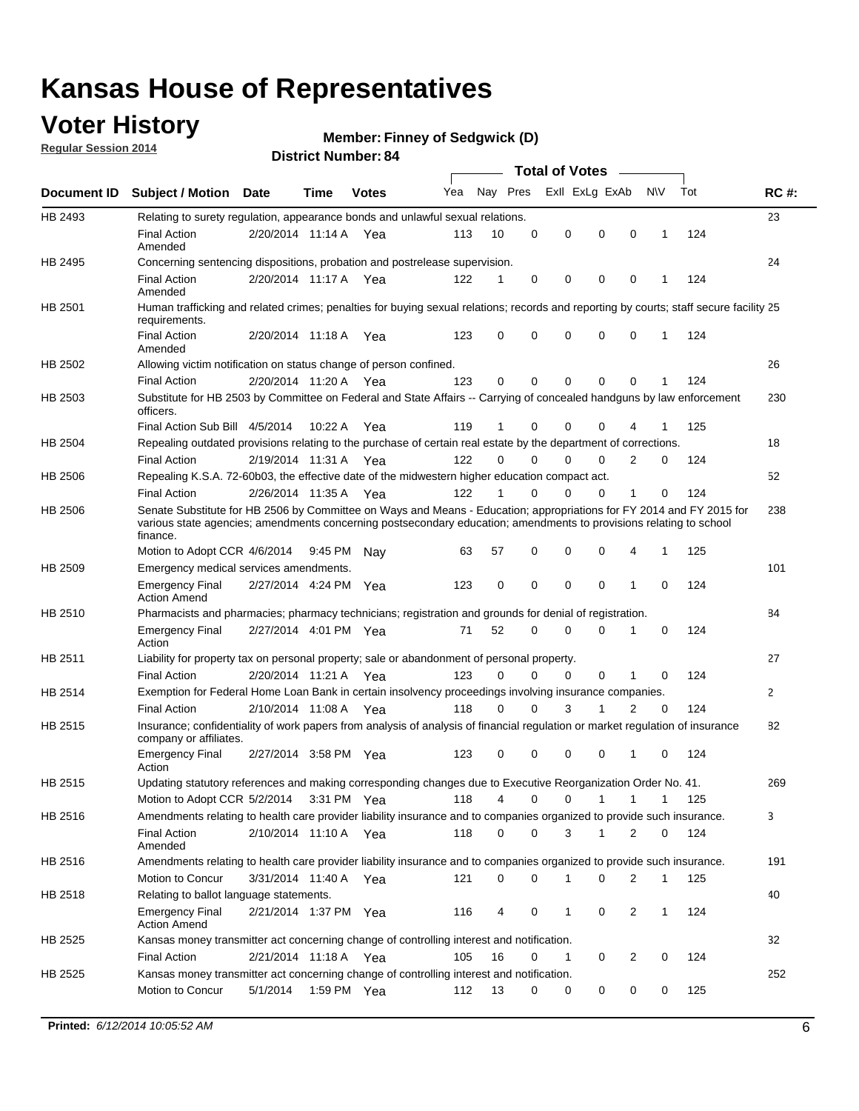### **Voter History**

**Regular Session 2014**

#### **Member: Finney of Sedgwick (D)**

|                    |                                                                                                                                                                                                                                                        |                       |             |              |     |          |          | <b>Total of Votes</b> |              |                |              |     |              |
|--------------------|--------------------------------------------------------------------------------------------------------------------------------------------------------------------------------------------------------------------------------------------------------|-----------------------|-------------|--------------|-----|----------|----------|-----------------------|--------------|----------------|--------------|-----|--------------|
| <b>Document ID</b> | <b>Subject / Motion Date</b>                                                                                                                                                                                                                           |                       | Time        | <b>Votes</b> | Yea | Nay Pres |          | Exll ExLg ExAb        |              |                | <b>NV</b>    | Tot | <b>RC#:</b>  |
| HB 2493            | Relating to surety regulation, appearance bonds and unlawful sexual relations.                                                                                                                                                                         |                       |             |              |     |          |          |                       |              |                |              |     | 23           |
|                    | <b>Final Action</b><br>Amended                                                                                                                                                                                                                         | 2/20/2014 11:14 A     |             | Yea          | 113 | 10       | 0        | 0                     | $\mathbf 0$  | 0              | $\mathbf 1$  | 124 |              |
| HB 2495            | Concerning sentencing dispositions, probation and postrelease supervision.                                                                                                                                                                             |                       |             |              |     |          |          |                       |              |                |              |     | 24           |
|                    | <b>Final Action</b><br>Amended                                                                                                                                                                                                                         | 2/20/2014 11:17 A Yea |             |              | 122 | 1        | 0        | 0                     | $\mathbf 0$  | $\mathbf 0$    | -1           | 124 |              |
| HB 2501            | Human trafficking and related crimes; penalties for buying sexual relations; records and reporting by courts; staff secure facility 25<br>requirements.                                                                                                |                       |             |              |     |          |          |                       |              |                |              |     |              |
|                    | <b>Final Action</b><br>Amended                                                                                                                                                                                                                         | 2/20/2014 11:18 A Yea |             |              | 123 | $\Omega$ | 0        | 0                     | $\Omega$     | $\mathbf 0$    | 1            | 124 |              |
| HB 2502            | Allowing victim notification on status change of person confined.                                                                                                                                                                                      |                       |             |              |     |          |          |                       |              |                |              |     | 26           |
|                    | <b>Final Action</b>                                                                                                                                                                                                                                    | 2/20/2014 11:20 A Yea |             |              | 123 | $\Omega$ | 0        | $\mathbf{0}$          | $\Omega$     | $\Omega$       |              | 124 |              |
| HB 2503            | Substitute for HB 2503 by Committee on Federal and State Affairs -- Carrying of concealed handguns by law enforcement<br>officers.                                                                                                                     |                       |             |              |     |          |          |                       |              |                |              |     | 230          |
|                    | Final Action Sub Bill 4/5/2014                                                                                                                                                                                                                         |                       | 10:22 A     | Yea          | 119 |          | 0        | 0                     | 0            | 4              |              | 125 |              |
| HB 2504            | Repealing outdated provisions relating to the purchase of certain real estate by the department of corrections.                                                                                                                                        |                       |             |              |     |          |          |                       |              |                |              |     | 18           |
|                    | <b>Final Action</b>                                                                                                                                                                                                                                    | 2/19/2014 11:31 A Yea |             |              | 122 | $\Omega$ | $\Omega$ | 0                     | $\mathbf{0}$ | $\overline{2}$ | 0            | 124 |              |
| HB 2506            | Repealing K.S.A. 72-60b03, the effective date of the midwestern higher education compact act.                                                                                                                                                          |                       |             |              |     |          |          |                       |              |                |              |     | 52           |
|                    | <b>Final Action</b>                                                                                                                                                                                                                                    | 2/26/2014 11:35 A Yea |             |              | 122 |          | $\Omega$ | 0                     | 0            | 1              | 0            | 124 |              |
| HB 2506            | Senate Substitute for HB 2506 by Committee on Ways and Means - Education; appropriations for FY 2014 and FY 2015 for<br>various state agencies; amendments concerning postsecondary education; amendments to provisions relating to school<br>finance. |                       |             |              |     |          |          |                       |              |                |              |     | 238          |
|                    | Motion to Adopt CCR 4/6/2014                                                                                                                                                                                                                           |                       | 9:45 PM Nav |              | 63  | 57       | 0        | 0                     | 0            | 4              | -1           | 125 |              |
| HB 2509            | Emergency medical services amendments.                                                                                                                                                                                                                 |                       |             |              |     |          |          |                       |              |                |              |     | 101          |
|                    | Emergency Final<br><b>Action Amend</b>                                                                                                                                                                                                                 | 2/27/2014 4:24 PM Yea |             |              | 123 | 0        | 0        | $\mathbf 0$           | 0            | 1              | 0            | 124 |              |
| HB 2510            | Pharmacists and pharmacies; pharmacy technicians; registration and grounds for denial of registration.                                                                                                                                                 |                       |             |              |     |          |          |                       |              |                |              |     | 84           |
|                    | <b>Emergency Final</b><br>Action                                                                                                                                                                                                                       | 2/27/2014 4:01 PM Yea |             |              | 71  | 52       | 0        | 0                     | 0            | 1              | 0            | 124 |              |
| HB 2511            | Liability for property tax on personal property; sale or abandonment of personal property.                                                                                                                                                             |                       |             |              |     |          |          |                       |              |                |              |     | 27           |
|                    | <b>Final Action</b>                                                                                                                                                                                                                                    | 2/20/2014 11:21 A     |             | Yea          | 123 | $\Omega$ | $\Omega$ | 0                     | 0            | 1              | 0            | 124 |              |
| HB 2514            | Exemption for Federal Home Loan Bank in certain insolvency proceedings involving insurance companies.                                                                                                                                                  |                       |             |              |     |          |          |                       |              |                |              |     | $\mathbf{2}$ |
|                    | <b>Final Action</b>                                                                                                                                                                                                                                    | 2/10/2014 11:08 A     |             | Yea          | 118 | $\Omega$ | $\Omega$ | 3                     | 1            | 2              | $\mathbf 0$  | 124 |              |
| HB 2515            | Insurance; confidentiality of work papers from analysis of analysis of financial regulation or market regulation of insurance<br>company or affiliates.                                                                                                |                       |             |              |     |          |          |                       |              |                |              |     | 82           |
|                    | <b>Emergency Final</b><br>Action                                                                                                                                                                                                                       | 2/27/2014 3:58 PM Yea |             |              | 123 | 0        | 0        | 0                     | 0            | 1              | 0            | 124 |              |
| HB 2515            | Updating statutory references and making corresponding changes due to Executive Reorganization Order No. 41.                                                                                                                                           |                       |             |              |     |          |          |                       |              |                |              |     | 269          |
|                    | Motion to Adopt CCR 5/2/2014 3:31 PM Yea                                                                                                                                                                                                               |                       |             |              | 118 | 4        | 0        | 0                     | $\mathbf{1}$ | $\mathbf{1}$   | $\mathbf{1}$ | 125 |              |
| HB 2516            | Amendments relating to health care provider liability insurance and to companies organized to provide such insurance.                                                                                                                                  |                       |             |              |     |          |          |                       |              |                |              |     | 3            |
|                    | <b>Final Action</b><br>Amended                                                                                                                                                                                                                         | 2/10/2014 11:10 A Yea |             |              | 118 | 0        | 0        | 3                     | 1            | 2              | 0            | 124 |              |
| HB 2516            | Amendments relating to health care provider liability insurance and to companies organized to provide such insurance.                                                                                                                                  |                       |             |              |     |          |          |                       |              |                |              |     | 191          |
|                    | Motion to Concur                                                                                                                                                                                                                                       | 3/31/2014 11:40 A Yea |             |              | 121 | 0        | 0        | 1                     | 0            | 2              | $\mathbf{1}$ | 125 |              |
| HB 2518            | Relating to ballot language statements.                                                                                                                                                                                                                |                       |             |              |     |          |          |                       |              |                |              |     | 40           |
|                    | Emergency Final<br><b>Action Amend</b>                                                                                                                                                                                                                 | 2/21/2014 1:37 PM Yea |             |              | 116 | 4        | 0        | 1                     | 0            | 2              | 1            | 124 |              |
| HB 2525            | Kansas money transmitter act concerning change of controlling interest and notification.                                                                                                                                                               |                       |             |              |     |          |          |                       |              |                |              |     | 32           |
|                    | <b>Final Action</b>                                                                                                                                                                                                                                    | 2/21/2014 11:18 A Yea |             |              | 105 | 16       | 0        | $\mathbf{1}$          | 0            | 2              | 0            | 124 |              |
| HB 2525            | Kansas money transmitter act concerning change of controlling interest and notification.                                                                                                                                                               |                       |             |              |     |          |          |                       |              |                |              |     | 252          |
|                    | Motion to Concur                                                                                                                                                                                                                                       | 5/1/2014              |             | 1:59 PM Yea  | 112 | 13       | 0        | 0                     | 0            | 0              | 0            | 125 |              |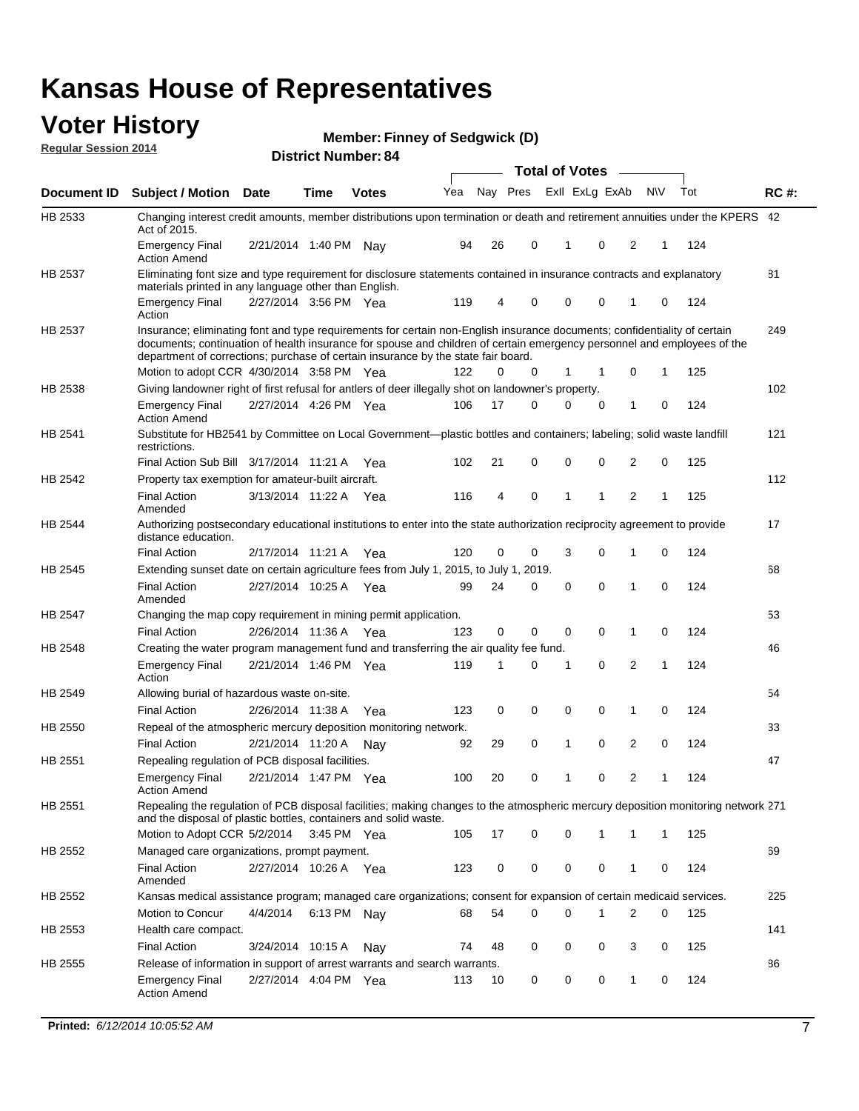#### **Voter History Regular Session 2014**

|  |  | <b>Member: Finney of Sedgwick (D)</b> |  |
|--|--|---------------------------------------|--|
|--|--|---------------------------------------|--|

|             |                                                                                                                                                                                                                                                                                                                                           |                       | ul Ituliinui |              |     |    |          | <b>Total of Votes</b> |                |          |           |   |     |             |
|-------------|-------------------------------------------------------------------------------------------------------------------------------------------------------------------------------------------------------------------------------------------------------------------------------------------------------------------------------------------|-----------------------|--------------|--------------|-----|----|----------|-----------------------|----------------|----------|-----------|---|-----|-------------|
| Document ID | <b>Subject / Motion Date</b>                                                                                                                                                                                                                                                                                                              |                       | <b>Time</b>  | <b>Votes</b> | Yea |    | Nay Pres |                       | Exll ExLg ExAb |          | <b>NV</b> |   | Tot | <b>RC#:</b> |
| HB 2533     | Changing interest credit amounts, member distributions upon termination or death and retirement annuities under the KPERS 42<br>Act of 2015.                                                                                                                                                                                              |                       |              |              |     |    |          |                       |                |          |           |   |     |             |
|             | <b>Emergency Final</b><br><b>Action Amend</b>                                                                                                                                                                                                                                                                                             | 2/21/2014 1:40 PM Nav |              |              | 94  | 26 |          | 0                     | 1              | 0        | 2         | 1 | 124 |             |
| HB 2537     | Eliminating font size and type requirement for disclosure statements contained in insurance contracts and explanatory                                                                                                                                                                                                                     |                       |              |              |     |    |          |                       |                |          |           |   |     | 81          |
|             | materials printed in any language other than English.<br>Emergency Final                                                                                                                                                                                                                                                                  | 2/27/2014 3:56 PM Yea |              |              | 119 | 4  |          | 0                     | $\mathbf 0$    | 0        | 1         | 0 | 124 |             |
|             | Action                                                                                                                                                                                                                                                                                                                                    |                       |              |              |     |    |          |                       |                |          |           |   |     |             |
| HB 2537     | Insurance; eliminating font and type requirements for certain non-English insurance documents; confidentiality of certain<br>documents; continuation of health insurance for spouse and children of certain emergency personnel and employees of the<br>department of corrections; purchase of certain insurance by the state fair board. |                       |              |              |     |    |          |                       |                |          |           |   |     | 249         |
|             | Motion to adopt CCR 4/30/2014 3:58 PM Yea                                                                                                                                                                                                                                                                                                 |                       |              |              | 122 | 0  |          | 0                     | 1              | 1        | 0         | 1 | 125 | 102         |
| HB 2538     | Giving landowner right of first refusal for antlers of deer illegally shot on landowner's property.                                                                                                                                                                                                                                       |                       |              |              |     | 17 |          | 0                     | 0              |          |           |   |     |             |
|             | Emergency Final<br><b>Action Amend</b>                                                                                                                                                                                                                                                                                                    | 2/27/2014 4:26 PM Yea |              |              | 106 |    |          |                       |                | 0        | 1         | 0 | 124 |             |
| HB 2541     | Substitute for HB2541 by Committee on Local Government—plastic bottles and containers; labeling; solid waste landfill<br>restrictions.                                                                                                                                                                                                    |                       |              |              |     |    |          |                       |                |          |           |   |     | 121         |
|             | Final Action Sub Bill 3/17/2014 11:21 A                                                                                                                                                                                                                                                                                                   |                       |              | Yea          | 102 | 21 |          | 0                     | $\mathbf 0$    | 0        | 2         | 0 | 125 |             |
| HB 2542     | Property tax exemption for amateur-built aircraft.                                                                                                                                                                                                                                                                                        |                       |              |              |     |    |          |                       |                |          |           |   |     | 112         |
|             | <b>Final Action</b><br>Amended                                                                                                                                                                                                                                                                                                            | 3/13/2014 11:22 A Yea |              |              | 116 | 4  |          | 0                     | 1              | 1        | 2         | 1 | 125 |             |
| HB 2544     | Authorizing postsecondary educational institutions to enter into the state authorization reciprocity agreement to provide<br>distance education.                                                                                                                                                                                          |                       |              |              |     |    |          |                       |                |          |           |   |     | 17          |
|             | <b>Final Action</b>                                                                                                                                                                                                                                                                                                                       | 2/17/2014 11:21 A Yea |              |              | 120 | 0  |          | 0                     | 3              | 0        | 1         | 0 | 124 |             |
| HB 2545     | Extending sunset date on certain agriculture fees from July 1, 2015, to July 1, 2019.                                                                                                                                                                                                                                                     |                       |              |              |     |    |          |                       |                |          |           |   |     | 68          |
|             | <b>Final Action</b><br>Amended                                                                                                                                                                                                                                                                                                            | 2/27/2014 10:25 A Yea |              |              | 99  | 24 |          | 0                     | 0              | $\Omega$ | 1         | 0 | 124 |             |
| HB 2547     | Changing the map copy requirement in mining permit application.                                                                                                                                                                                                                                                                           |                       |              |              |     |    |          |                       |                |          |           |   |     | 53          |
|             | <b>Final Action</b>                                                                                                                                                                                                                                                                                                                       | 2/26/2014 11:36 A     |              | Yea          | 123 | 0  |          | 0                     | $\mathbf 0$    | 0        | 1         | 0 | 124 |             |
| HB 2548     | Creating the water program management fund and transferring the air quality fee fund.                                                                                                                                                                                                                                                     |                       |              |              |     |    |          |                       |                |          |           |   |     | 46          |
|             | Emergency Final<br>Action                                                                                                                                                                                                                                                                                                                 | 2/21/2014 1:46 PM Yea |              |              | 119 | 1  |          | 0                     | 1              | 0        | 2         | 1 | 124 |             |
| HB 2549     | Allowing burial of hazardous waste on-site.                                                                                                                                                                                                                                                                                               |                       |              |              |     |    |          |                       |                |          |           |   |     | 54          |
|             | <b>Final Action</b>                                                                                                                                                                                                                                                                                                                       | 2/26/2014 11:38 A     |              | Yea          | 123 | 0  |          | 0                     | 0              | 0        | 1         | 0 | 124 |             |
| HB 2550     | Repeal of the atmospheric mercury deposition monitoring network.                                                                                                                                                                                                                                                                          |                       |              |              |     |    |          |                       |                |          |           |   |     | 33          |
|             | <b>Final Action</b>                                                                                                                                                                                                                                                                                                                       | 2/21/2014 11:20 A     |              | Nay          | 92  | 29 |          | 0                     | 1              | 0        | 2         | 0 | 124 |             |
| HB 2551     | Repealing regulation of PCB disposal facilities.                                                                                                                                                                                                                                                                                          |                       |              |              |     |    |          |                       |                |          |           |   |     | 47          |
|             | <b>Emergency Final</b><br>Action Amend                                                                                                                                                                                                                                                                                                    | 2/21/2014 1:47 PM Yea |              |              | 100 | 20 |          | 0                     | 1              | 0        | 2         | 1 | 124 |             |
| HB 2551     | Repealing the regulation of PCB disposal facilities; making changes to the atmospheric mercury deposition monitoring network 271<br>and the disposal of plastic bottles, containers and solid waste.                                                                                                                                      |                       |              |              |     |    |          |                       |                |          |           |   |     |             |
|             | Motion to Adopt CCR 5/2/2014 3:45 PM Yea                                                                                                                                                                                                                                                                                                  |                       |              |              | 105 | 17 |          | 0                     | 0              | 1        | 1         | 1 | 125 |             |
| HB 2552     | Managed care organizations, prompt payment.                                                                                                                                                                                                                                                                                               |                       |              |              |     |    |          |                       |                |          |           |   |     | 69          |
|             | <b>Final Action</b><br>Amended                                                                                                                                                                                                                                                                                                            | 2/27/2014 10:26 A Yea |              |              | 123 | 0  |          | 0                     | 0              | 0        | 1         | 0 | 124 |             |
| HB 2552     | Kansas medical assistance program; managed care organizations; consent for expansion of certain medicaid services.                                                                                                                                                                                                                        |                       |              |              |     |    |          |                       |                |          |           |   |     | 225         |
|             | Motion to Concur                                                                                                                                                                                                                                                                                                                          | 4/4/2014              | 6:13 PM Nay  |              | 68  | 54 |          | 0                     | $\mathbf 0$    | 1        | 2         | 0 | 125 |             |
| HB 2553     | Health care compact.                                                                                                                                                                                                                                                                                                                      |                       |              |              |     |    |          |                       |                |          |           |   |     | 141         |
|             | <b>Final Action</b>                                                                                                                                                                                                                                                                                                                       | 3/24/2014 10:15 A     |              | Nay          | 74  | 48 |          | 0                     | 0              | 0        | 3         | 0 | 125 |             |
| HB 2555     | Release of information in support of arrest warrants and search warrants.                                                                                                                                                                                                                                                                 |                       |              |              |     |    |          |                       |                |          |           |   |     | 86          |
|             | <b>Emergency Final</b><br><b>Action Amend</b>                                                                                                                                                                                                                                                                                             | 2/27/2014 4:04 PM Yea |              |              | 113 | 10 |          | 0                     | 0              | 0        | 1         | 0 | 124 |             |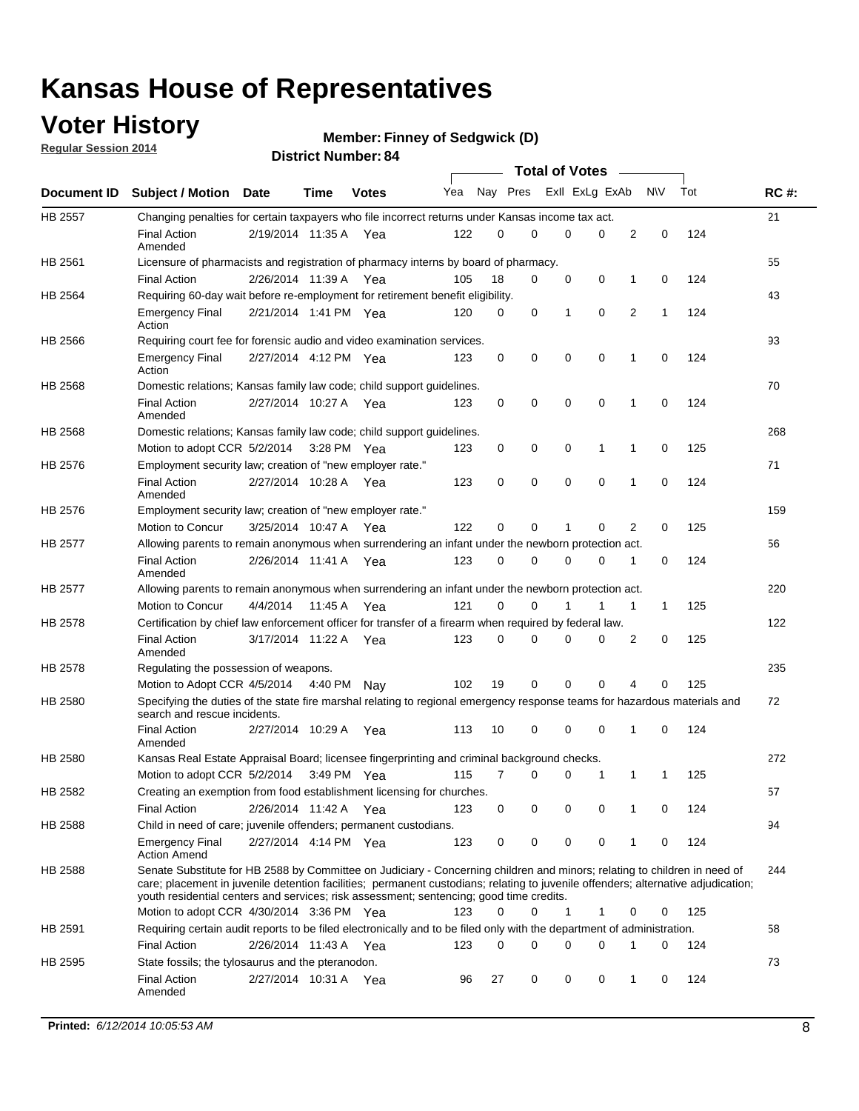### **Voter History**

**Regular Session 2014**

#### **Member: Finney of Sedgwick (D)**

|                |                                                                                                                                                                                                                                                                                                                                                           |                       |         | <b>DISTRICT MAILINGL. 04</b> |     |          |             |              | <b>Total of Votes</b> |                |           |     |             |
|----------------|-----------------------------------------------------------------------------------------------------------------------------------------------------------------------------------------------------------------------------------------------------------------------------------------------------------------------------------------------------------|-----------------------|---------|------------------------------|-----|----------|-------------|--------------|-----------------------|----------------|-----------|-----|-------------|
|                | Document ID Subject / Motion Date                                                                                                                                                                                                                                                                                                                         |                       | Time    | <b>Votes</b>                 | Yea |          | Nay Pres    |              | Exll ExLg ExAb        |                | <b>NV</b> | Tot | <b>RC#:</b> |
| <b>HB 2557</b> | Changing penalties for certain taxpayers who file incorrect returns under Kansas income tax act.                                                                                                                                                                                                                                                          |                       |         |                              |     |          |             |              |                       |                |           |     | 21          |
|                | <b>Final Action</b><br>Amended                                                                                                                                                                                                                                                                                                                            | 2/19/2014 11:35 A Yea |         |                              | 122 | 0        | 0           | 0            | $\Omega$              | 2              | 0         | 124 |             |
| HB 2561        | Licensure of pharmacists and registration of pharmacy interns by board of pharmacy.                                                                                                                                                                                                                                                                       |                       |         |                              |     |          |             |              |                       |                |           |     | 55          |
|                | <b>Final Action</b>                                                                                                                                                                                                                                                                                                                                       | 2/26/2014 11:39 A     |         | Yea                          | 105 | 18       | 0           | 0            | 0                     | 1              | 0         | 124 |             |
| HB 2564        | Requiring 60-day wait before re-employment for retirement benefit eligibility.                                                                                                                                                                                                                                                                            |                       |         |                              |     |          |             |              |                       |                |           |     | 43          |
|                | <b>Emergency Final</b><br>Action                                                                                                                                                                                                                                                                                                                          | 2/21/2014 1:41 PM Yea |         |                              | 120 | 0        | $\mathbf 0$ | $\mathbf{1}$ | $\mathbf 0$           | $\overline{2}$ | 1         | 124 |             |
| HB 2566        | Requiring court fee for forensic audio and video examination services.                                                                                                                                                                                                                                                                                    |                       |         |                              |     |          |             |              |                       |                |           |     | 93          |
|                | <b>Emergency Final</b><br>Action                                                                                                                                                                                                                                                                                                                          | 2/27/2014 4:12 PM Yea |         |                              | 123 | 0        | 0           | 0            | 0                     | $\mathbf 1$    | 0         | 124 |             |
| HB 2568        | Domestic relations; Kansas family law code; child support guidelines.                                                                                                                                                                                                                                                                                     |                       |         |                              |     |          |             |              |                       |                |           |     | 70          |
|                | <b>Final Action</b><br>Amended                                                                                                                                                                                                                                                                                                                            | 2/27/2014 10:27 A Yea |         |                              | 123 | 0        | 0           | 0            | $\mathbf 0$           | 1              | 0         | 124 |             |
| HB 2568        | Domestic relations; Kansas family law code; child support guidelines.                                                                                                                                                                                                                                                                                     |                       |         |                              |     |          |             |              |                       |                |           |     | 268         |
|                | Motion to adopt CCR 5/2/2014                                                                                                                                                                                                                                                                                                                              |                       |         | 3:28 PM Yea                  | 123 | 0        | 0           | 0            | 1                     | 1              | 0         | 125 |             |
| HB 2576        | Employment security law; creation of "new employer rate."                                                                                                                                                                                                                                                                                                 |                       |         |                              |     |          |             |              |                       |                |           |     | 71          |
|                | <b>Final Action</b><br>Amended                                                                                                                                                                                                                                                                                                                            | 2/27/2014 10:28 A Yea |         |                              | 123 | 0        | $\mathbf 0$ | $\mathbf 0$  | $\mathbf 0$           | 1              | 0         | 124 |             |
| HB 2576        | Employment security law; creation of "new employer rate."                                                                                                                                                                                                                                                                                                 |                       |         |                              |     |          |             |              |                       |                |           |     | 159         |
|                | Motion to Concur                                                                                                                                                                                                                                                                                                                                          | 3/25/2014 10:47 A     |         | Yea                          | 122 | $\Omega$ | 0           | 1            | 0                     | 2              | 0         | 125 |             |
| <b>HB 2577</b> | Allowing parents to remain anonymous when surrendering an infant under the newborn protection act.                                                                                                                                                                                                                                                        |                       |         |                              |     |          |             |              |                       |                |           |     | 56          |
|                | <b>Final Action</b><br>Amended                                                                                                                                                                                                                                                                                                                            | 2/26/2014 11:41 A     |         | Yea                          | 123 | 0        | 0           | 0            | 0                     | 1              | 0         | 124 |             |
| HB 2577        | Allowing parents to remain anonymous when surrendering an infant under the newborn protection act.                                                                                                                                                                                                                                                        |                       |         |                              |     |          |             |              |                       |                |           |     | 220         |
|                | Motion to Concur                                                                                                                                                                                                                                                                                                                                          | 4/4/2014              | 11:45 A | Yea                          | 121 | $\Omega$ | 0           | 1            | 1                     | 1              | 1         | 125 |             |
| HB 2578        | Certification by chief law enforcement officer for transfer of a firearm when required by federal law.                                                                                                                                                                                                                                                    |                       |         |                              |     |          |             |              |                       |                |           |     | 122         |
|                | <b>Final Action</b><br>Amended                                                                                                                                                                                                                                                                                                                            | 3/17/2014 11:22 A Yea |         |                              | 123 | $\Omega$ | 0           | 0            | 0                     | 2              | 0         | 125 |             |
| HB 2578        | Regulating the possession of weapons.                                                                                                                                                                                                                                                                                                                     |                       |         |                              |     |          |             |              |                       |                |           |     | 235         |
|                | Motion to Adopt CCR 4/5/2014 4:40 PM                                                                                                                                                                                                                                                                                                                      |                       |         | Nav                          | 102 | 19       | $\mathbf 0$ | $\mathbf 0$  | 0                     | 4              | 0         | 125 |             |
| HB 2580        | Specifying the duties of the state fire marshal relating to regional emergency response teams for hazardous materials and<br>search and rescue incidents.                                                                                                                                                                                                 |                       |         |                              |     |          |             |              |                       |                |           |     | 72          |
|                | <b>Final Action</b><br>Amended                                                                                                                                                                                                                                                                                                                            | 2/27/2014 10:29 A     |         | Yea                          | 113 | 10       | 0           | $\mathbf 0$  | $\mathbf 0$           | 1              | 0         | 124 |             |
| HB 2580        | Kansas Real Estate Appraisal Board; licensee fingerprinting and criminal background checks.                                                                                                                                                                                                                                                               |                       |         |                              |     |          |             |              |                       |                |           |     | 272         |
|                | Motion to adopt CCR 5/2/2014                                                                                                                                                                                                                                                                                                                              |                       |         | 3:49 PM Yea                  | 115 | 7        | 0           |              | 0<br>1                | 1              | 1         | 125 |             |
| HB 2582        | Creating an exemption from food establishment licensing for churches.                                                                                                                                                                                                                                                                                     |                       |         |                              |     |          |             |              |                       |                |           |     | 57          |
|                | <b>Final Action</b>                                                                                                                                                                                                                                                                                                                                       | 2/26/2014 11:42 A     |         | Yea                          | 123 | 0        | 0           |              | 0<br>0                | 1              | 0         | 124 |             |
| HB 2588        | Child in need of care; juvenile offenders; permanent custodians.                                                                                                                                                                                                                                                                                          |                       |         |                              |     |          |             |              |                       |                |           |     | 94          |
|                | <b>Emergency Final</b><br><b>Action Amend</b>                                                                                                                                                                                                                                                                                                             | 2/27/2014 4:14 PM Yea |         |                              | 123 | 0        | 0           | 0            | 0                     | 1              | 0         | 124 |             |
| HB 2588        | Senate Substitute for HB 2588 by Committee on Judiciary - Concerning children and minors; relating to children in need of<br>care; placement in juvenile detention facilities; permanent custodians; relating to juvenile offenders; alternative adjudication;<br>youth residential centers and services; risk assessment; sentencing; good time credits. |                       |         |                              |     |          |             |              |                       |                |           |     | 244         |
|                | Motion to adopt CCR 4/30/2014 3:36 PM Yea                                                                                                                                                                                                                                                                                                                 |                       |         |                              | 123 | 0        | 0           | $\mathbf{1}$ | 1                     | 0              | 0         | 125 |             |
| HB 2591        | Requiring certain audit reports to be filed electronically and to be filed only with the department of administration.                                                                                                                                                                                                                                    |                       |         |                              |     |          |             |              |                       |                |           |     | 58          |
|                | <b>Final Action</b>                                                                                                                                                                                                                                                                                                                                       | 2/26/2014 11:43 A Yea |         |                              | 123 | 0        | 0           |              | 0<br>0                | 1              | 0         | 124 |             |
| HB 2595        | State fossils; the tylosaurus and the pteranodon.                                                                                                                                                                                                                                                                                                         |                       |         |                              |     |          |             |              |                       |                |           |     | 73          |
|                | <b>Final Action</b><br>Amended                                                                                                                                                                                                                                                                                                                            | 2/27/2014 10:31 A Yea |         |                              | 96  | 27       | 0           | 0            | 0                     | 1              | 0         | 124 |             |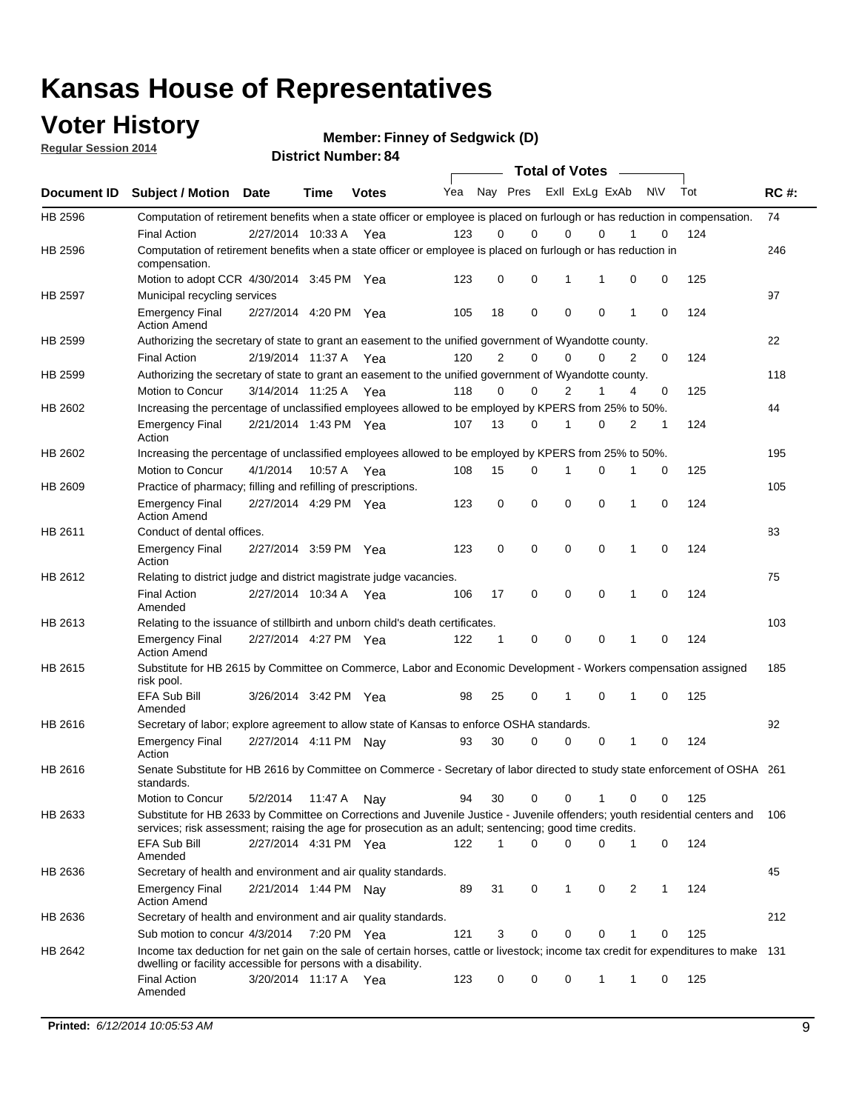### **Voter History**

**Regular Session 2014**

**Member: Finney of Sedgwick (D)** 

| <b>District Number: 84</b> |
|----------------------------|
|                            |

|         |                                                                                                                                                                                                                                       |                       |             |              |     |                | <b>Total of Votes</b>   |             |             |              |           |     |             |
|---------|---------------------------------------------------------------------------------------------------------------------------------------------------------------------------------------------------------------------------------------|-----------------------|-------------|--------------|-----|----------------|-------------------------|-------------|-------------|--------------|-----------|-----|-------------|
|         | Document ID Subject / Motion Date                                                                                                                                                                                                     |                       | <b>Time</b> | <b>Votes</b> | Yea |                | Nay Pres Exll ExLg ExAb |             |             |              | <b>NV</b> | Tot | <b>RC#:</b> |
| HB 2596 | Computation of retirement benefits when a state officer or employee is placed on furlough or has reduction in compensation.                                                                                                           |                       |             |              |     |                |                         |             |             |              |           |     | 74          |
|         | <b>Final Action</b>                                                                                                                                                                                                                   | 2/27/2014 10:33 A     |             | Yea          | 123 | 0              | 0                       | $\mathbf 0$ | $\Omega$    |              | 0         | 124 |             |
| HB 2596 | Computation of retirement benefits when a state officer or employee is placed on furlough or has reduction in<br>compensation.                                                                                                        |                       |             |              |     |                |                         |             |             |              |           |     | 246         |
|         | Motion to adopt CCR 4/30/2014 3:45 PM Yea                                                                                                                                                                                             |                       |             |              | 123 | 0              | 0                       | 1           | 1           | 0            | 0         | 125 |             |
| HB 2597 | Municipal recycling services                                                                                                                                                                                                          |                       |             |              |     |                |                         |             |             |              |           |     | 97          |
|         | <b>Emergency Final</b><br><b>Action Amend</b>                                                                                                                                                                                         | 2/27/2014 4:20 PM Yea |             |              | 105 | 18             | 0                       | $\mathbf 0$ | 0           | 1            | 0         | 124 |             |
| HB 2599 | Authorizing the secretary of state to grant an easement to the unified government of Wyandotte county.                                                                                                                                |                       |             |              |     |                |                         |             |             |              |           |     | 22          |
|         | <b>Final Action</b>                                                                                                                                                                                                                   | 2/19/2014 11:37 A     |             | Yea          | 120 | $\overline{2}$ | 0                       | 0           | $\Omega$    | 2            | $\Omega$  | 124 |             |
| HB 2599 | Authorizing the secretary of state to grant an easement to the unified government of Wyandotte county.                                                                                                                                |                       |             |              |     |                |                         |             |             |              |           |     | 118         |
|         | Motion to Concur                                                                                                                                                                                                                      | 3/14/2014 11:25 A Yea |             |              | 118 | 0              | 0                       | 2           | 1           | 4            | 0         | 125 |             |
| HB 2602 | Increasing the percentage of unclassified employees allowed to be employed by KPERS from 25% to 50%.                                                                                                                                  |                       |             |              |     |                |                         |             |             |              |           |     | 44          |
|         | <b>Emergency Final</b><br>Action                                                                                                                                                                                                      | 2/21/2014 1:43 PM Yea |             |              | 107 | 13             | 0                       | 1           | 0           | 2            | 1         | 124 |             |
| HB 2602 | Increasing the percentage of unclassified employees allowed to be employed by KPERS from 25% to 50%.                                                                                                                                  |                       |             |              |     |                |                         |             |             |              |           |     | 195         |
|         | Motion to Concur                                                                                                                                                                                                                      | 4/1/2014              | 10:57 A     | Yea          | 108 | 15             | 0                       | 1           | $\mathbf 0$ | 1            | 0         | 125 |             |
| HB 2609 | Practice of pharmacy; filling and refilling of prescriptions.                                                                                                                                                                         |                       |             |              |     |                |                         |             |             |              |           |     | 105         |
|         | <b>Emergency Final</b><br><b>Action Amend</b>                                                                                                                                                                                         | 2/27/2014 4:29 PM Yea |             |              | 123 | 0              | $\mathbf 0$             | $\mathbf 0$ | $\mathbf 0$ | 1            | 0         | 124 |             |
| HB 2611 | Conduct of dental offices.                                                                                                                                                                                                            |                       |             |              |     |                |                         |             |             |              |           |     | 83          |
|         | <b>Emergency Final</b><br>Action                                                                                                                                                                                                      | 2/27/2014 3:59 PM Yea |             |              | 123 | 0              | $\mathbf 0$             | $\mathbf 0$ | 0           | 1            | 0         | 124 |             |
| HB 2612 | Relating to district judge and district magistrate judge vacancies.                                                                                                                                                                   |                       |             |              |     |                |                         |             |             |              |           |     | 75          |
|         | <b>Final Action</b><br>Amended                                                                                                                                                                                                        | 2/27/2014 10:34 A     |             | Yea          | 106 | 17             | $\mathbf 0$             | $\mathbf 0$ | $\mathbf 0$ | 1            | 0         | 124 |             |
| HB 2613 | Relating to the issuance of stillbirth and unborn child's death certificates.                                                                                                                                                         |                       |             |              |     |                |                         |             |             |              |           |     | 103         |
|         | <b>Emergency Final</b><br><b>Action Amend</b>                                                                                                                                                                                         | 2/27/2014 4:27 PM Yea |             |              | 122 | $\mathbf{1}$   | $\mathbf 0$             | $\mathbf 0$ | $\Omega$    | $\mathbf{1}$ | $\Omega$  | 124 |             |
| HB 2615 | Substitute for HB 2615 by Committee on Commerce, Labor and Economic Development - Workers compensation assigned<br>risk pool.                                                                                                         |                       |             |              |     |                |                         |             |             |              |           |     | 185         |
|         | EFA Sub Bill<br>Amended                                                                                                                                                                                                               | 3/26/2014 3:42 PM Yea |             |              | 98  | 25             | 0                       | 1           | $\mathbf 0$ | 1            | 0         | 125 |             |
| HB 2616 | Secretary of labor; explore agreement to allow state of Kansas to enforce OSHA standards.                                                                                                                                             |                       |             |              |     |                |                         |             |             |              |           |     | 92          |
|         | <b>Emergency Final</b><br>Action                                                                                                                                                                                                      | 2/27/2014 4:11 PM Nay |             |              | 93  | 30             | $\Omega$                | $\mathbf 0$ | 0           | 1            | 0         | 124 |             |
| HB 2616 | Senate Substitute for HB 2616 by Committee on Commerce - Secretary of labor directed to study state enforcement of OSHA 261<br>standards.                                                                                             |                       |             |              |     |                |                         |             |             |              |           |     |             |
|         | Motion to Concur                                                                                                                                                                                                                      | 5/2/2014 11:47 A Nay  |             |              | 94  | 30             | 0                       | 0           | 1           | 0            | 0         | 125 |             |
| HB 2633 | Substitute for HB 2633 by Committee on Corrections and Juvenile Justice - Juvenile offenders; youth residential centers and<br>services; risk assessment; raising the age for prosecution as an adult; sentencing; good time credits. |                       |             |              |     |                |                         |             |             |              |           |     | 106         |
|         | EFA Sub Bill<br>Amended                                                                                                                                                                                                               | 2/27/2014 4:31 PM Yea |             |              | 122 | 1              | $\Omega$                | $\Omega$    | 0           | 1            | 0         | 124 |             |
| HB 2636 | Secretary of health and environment and air quality standards.                                                                                                                                                                        |                       |             |              |     |                |                         |             |             |              |           |     | 45          |
|         | <b>Emergency Final</b><br><b>Action Amend</b>                                                                                                                                                                                         | 2/21/2014 1:44 PM Nav |             |              | 89  | 31             | 0                       | 1           | 0           | 2            | 1         | 124 |             |
| HB 2636 | Secretary of health and environment and air quality standards.                                                                                                                                                                        |                       |             |              |     |                |                         |             |             |              |           |     | 212         |
|         | Sub motion to concur 4/3/2014 7:20 PM Yea                                                                                                                                                                                             |                       |             |              | 121 | 3              | 0                       | 0           | 0           |              | 0         | 125 |             |
| HB 2642 | Income tax deduction for net gain on the sale of certain horses, cattle or livestock; income tax credit for expenditures to make 131                                                                                                  |                       |             |              |     |                |                         |             |             |              |           |     |             |
|         | dwelling or facility accessible for persons with a disability.<br><b>Final Action</b>                                                                                                                                                 | 3/20/2014 11:17 A Yea |             |              | 123 | 0              | 0                       | 0           | 1           | 1            | 0         | 125 |             |
|         | Amended                                                                                                                                                                                                                               |                       |             |              |     |                |                         |             |             |              |           |     |             |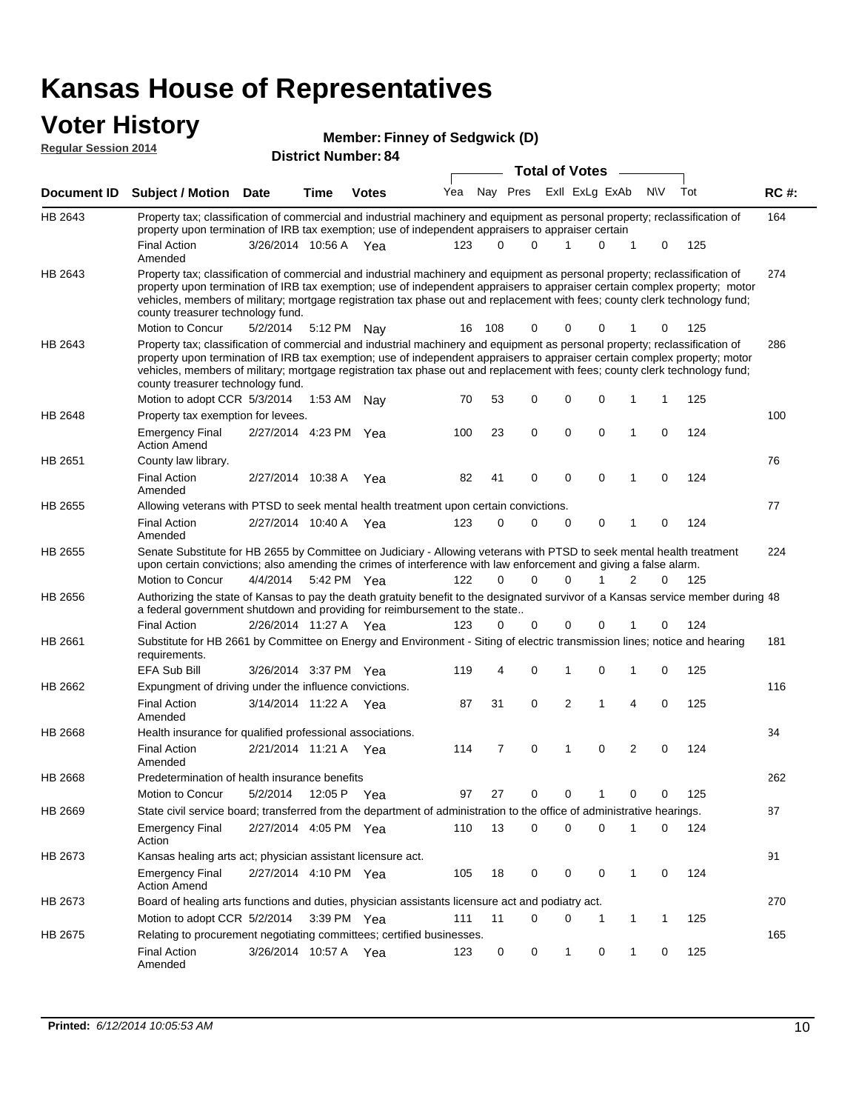# **Voter History**<br> **Regular Session 2014**

| <b>VULGE LIISLUI Y</b><br><b>Regular Session 2014</b> |                                                                                                                                                                                                                                                                                                                                                                                                                               | <b>Member: Finney of Sedgwick (D)</b><br><b>District Number: 84</b> |                       |              |     |          |                         |          |                |             |   |           |     |             |  |
|-------------------------------------------------------|-------------------------------------------------------------------------------------------------------------------------------------------------------------------------------------------------------------------------------------------------------------------------------------------------------------------------------------------------------------------------------------------------------------------------------|---------------------------------------------------------------------|-----------------------|--------------|-----|----------|-------------------------|----------|----------------|-------------|---|-----------|-----|-------------|--|
|                                                       |                                                                                                                                                                                                                                                                                                                                                                                                                               |                                                                     | <b>Total of Votes</b> |              |     |          |                         |          |                |             |   |           |     |             |  |
| <b>Document ID</b>                                    | <b>Subject / Motion Date</b>                                                                                                                                                                                                                                                                                                                                                                                                  |                                                                     | Time                  | <b>Votes</b> | Yea |          | Nay Pres ExII ExLg ExAb |          |                |             |   | <b>NV</b> | Tot | <b>RC#:</b> |  |
| HB 2643                                               | Property tax; classification of commercial and industrial machinery and equipment as personal property; reclassification of                                                                                                                                                                                                                                                                                                   |                                                                     |                       |              |     |          |                         |          |                |             |   |           |     | 164         |  |
|                                                       | property upon termination of IRB tax exemption; use of independent appraisers to appraiser certain<br><b>Final Action</b><br>Amended                                                                                                                                                                                                                                                                                          | 3/26/2014 10:56 A Yea                                               |                       |              | 123 |          | 0<br>$\Omega$           |          | 1              | $\Omega$    | 1 | 0         | 125 |             |  |
| HB 2643                                               | Property tax; classification of commercial and industrial machinery and equipment as personal property; reclassification of<br>property upon termination of IRB tax exemption; use of independent appraisers to appraiser certain complex property; motor<br>vehicles, members of military; mortgage registration tax phase out and replacement with fees; county clerk technology fund;<br>county treasurer technology fund. |                                                                     |                       |              |     |          |                         |          |                |             |   |           |     | 274         |  |
| HB 2643                                               | Motion to Concur<br>Property tax; classification of commercial and industrial machinery and equipment as personal property; reclassification of                                                                                                                                                                                                                                                                               | 5/2/2014                                                            |                       | 5:12 PM Nay  | 16  | 108      |                         | 0        | 0              | 0           |   | 0         | 125 | 286         |  |
|                                                       | property upon termination of IRB tax exemption; use of independent appraisers to appraiser certain complex property; motor<br>vehicles, members of military; mortgage registration tax phase out and replacement with fees; county clerk technology fund;<br>county treasurer technology fund.                                                                                                                                |                                                                     |                       |              |     |          |                         |          |                |             |   |           |     |             |  |
|                                                       | Motion to adopt CCR 5/3/2014                                                                                                                                                                                                                                                                                                                                                                                                  |                                                                     | 1:53 AM               | Nav          | 70  | 53       |                         | 0        | 0              | $\mathbf 0$ | 1 | 1         | 125 |             |  |
| HB 2648                                               | Property tax exemption for levees.                                                                                                                                                                                                                                                                                                                                                                                            |                                                                     |                       |              |     |          |                         |          |                |             |   |           |     | 100         |  |
|                                                       | <b>Emergency Final</b><br><b>Action Amend</b>                                                                                                                                                                                                                                                                                                                                                                                 | 2/27/2014 4:23 PM                                                   |                       | Yea          | 100 | 23       | 0                       |          | 0              | 0           | 1 | 0         | 124 |             |  |
| HB 2651                                               | County law library.                                                                                                                                                                                                                                                                                                                                                                                                           |                                                                     |                       |              |     |          |                         |          |                |             |   |           |     | 76          |  |
|                                                       | <b>Final Action</b><br>Amended                                                                                                                                                                                                                                                                                                                                                                                                | 2/27/2014 10:38 A                                                   |                       | Yea          | 82  | 41       | 0                       |          | 0              | $\mathbf 0$ | 1 | 0         | 124 |             |  |
| HB 2655                                               | Allowing veterans with PTSD to seek mental health treatment upon certain convictions.                                                                                                                                                                                                                                                                                                                                         |                                                                     |                       |              |     |          |                         |          |                |             |   |           |     | 77          |  |
|                                                       | Final Action<br>Amended                                                                                                                                                                                                                                                                                                                                                                                                       | 2/27/2014 10:40 A                                                   |                       | Yea          | 123 | $\Omega$ | $\Omega$                |          | 0              | 0           | 1 | 0         | 124 |             |  |
| HB 2655                                               | Senate Substitute for HB 2655 by Committee on Judiciary - Allowing veterans with PTSD to seek mental health treatment<br>upon certain convictions; also amending the crimes of interference with law enforcement and giving a false alarm.                                                                                                                                                                                    |                                                                     |                       |              |     |          |                         |          |                |             |   |           |     | 224         |  |
|                                                       | Motion to Concur                                                                                                                                                                                                                                                                                                                                                                                                              | 4/4/2014                                                            |                       | 5:42 PM Yea  | 122 | $\Omega$ |                         | $\Omega$ | 0              | 1           | 2 | 0         | 125 |             |  |
| HB 2656                                               | Authorizing the state of Kansas to pay the death gratuity benefit to the designated survivor of a Kansas service member during 48<br>a federal government shutdown and providing for reimbursement to the state                                                                                                                                                                                                               |                                                                     |                       |              |     |          |                         |          |                |             |   |           |     |             |  |
|                                                       | <b>Final Action</b>                                                                                                                                                                                                                                                                                                                                                                                                           | 2/26/2014 11:27 A Yea                                               |                       |              | 123 |          | 0                       | 0        | 0              | 0           |   | 0         | 124 |             |  |
| HB 2661                                               | Substitute for HB 2661 by Committee on Energy and Environment - Siting of electric transmission lines; notice and hearing<br>requirements.                                                                                                                                                                                                                                                                                    |                                                                     |                       |              |     |          |                         |          |                |             |   |           |     | 181         |  |
|                                                       | <b>EFA Sub Bill</b>                                                                                                                                                                                                                                                                                                                                                                                                           | 3/26/2014 3:37 PM Yea                                               |                       |              | 119 |          | 4<br>0                  |          | 1              | 0           | 1 | 0         | 125 |             |  |
| HB 2662                                               | Expungment of driving under the influence convictions.                                                                                                                                                                                                                                                                                                                                                                        |                                                                     |                       |              |     |          |                         |          |                |             |   |           |     | 116         |  |
|                                                       | <b>Final Action</b><br>Amended                                                                                                                                                                                                                                                                                                                                                                                                | 3/14/2014 11:22 A                                                   |                       | Yea          | 87  | 31       |                         | 0        | $\overline{2}$ | 1           | 4 | 0         | 125 |             |  |
| HB 2668                                               | Health insurance for qualified professional associations.                                                                                                                                                                                                                                                                                                                                                                     |                                                                     |                       |              |     |          |                         |          |                |             |   |           |     | 34          |  |
|                                                       | <b>Final Action</b><br>Amended                                                                                                                                                                                                                                                                                                                                                                                                | 2/21/2014 11:21 A                                                   |                       | Yea          | 114 |          | 7<br>0                  |          | 1              | 0           | 2 | 0         | 124 |             |  |
| HB 2668                                               | Predetermination of health insurance benefits                                                                                                                                                                                                                                                                                                                                                                                 |                                                                     |                       |              |     |          |                         |          |                |             |   |           |     | 262         |  |
|                                                       | Motion to Concur                                                                                                                                                                                                                                                                                                                                                                                                              | 5/2/2014                                                            |                       | 12:05 P Yea  | 97  | 27       | 0                       |          | 0              | 1           | 0 | 0         | 125 |             |  |
| HB 2669                                               | State civil service board; transferred from the department of administration to the office of administrative hearings.                                                                                                                                                                                                                                                                                                        |                                                                     |                       |              |     |          |                         |          |                |             |   |           |     | 87          |  |
|                                                       | <b>Emergency Final</b><br>Action                                                                                                                                                                                                                                                                                                                                                                                              | 2/27/2014 4:05 PM Yea                                               |                       |              | 110 | 13       | 0                       |          | 0              | $\mathbf 0$ | 1 | 0         | 124 |             |  |
| HB 2673                                               | Kansas healing arts act; physician assistant licensure act.                                                                                                                                                                                                                                                                                                                                                                   |                                                                     |                       |              |     |          |                         |          |                |             |   |           |     | 91          |  |
|                                                       | <b>Emergency Final</b><br><b>Action Amend</b>                                                                                                                                                                                                                                                                                                                                                                                 | 2/27/2014 4:10 PM Yea                                               |                       |              | 105 | 18       | 0                       |          | 0              | 0           | 1 | 0         | 124 |             |  |
| HB 2673                                               | Board of healing arts functions and duties, physician assistants licensure act and podiatry act.                                                                                                                                                                                                                                                                                                                              |                                                                     |                       |              |     |          |                         |          |                |             |   |           |     | 270         |  |
|                                                       | Motion to adopt CCR 5/2/2014                                                                                                                                                                                                                                                                                                                                                                                                  |                                                                     |                       | 3:39 PM Yea  | 111 | 11       |                         | 0        | 0              | -1          | 1 | 1         | 125 |             |  |
| HB 2675                                               | Relating to procurement negotiating committees; certified businesses.                                                                                                                                                                                                                                                                                                                                                         |                                                                     |                       |              |     |          |                         |          |                |             |   |           |     | 165         |  |

Final Action 3/26/2014 10:57 A Yea 123 0 0 1 0 125

Amended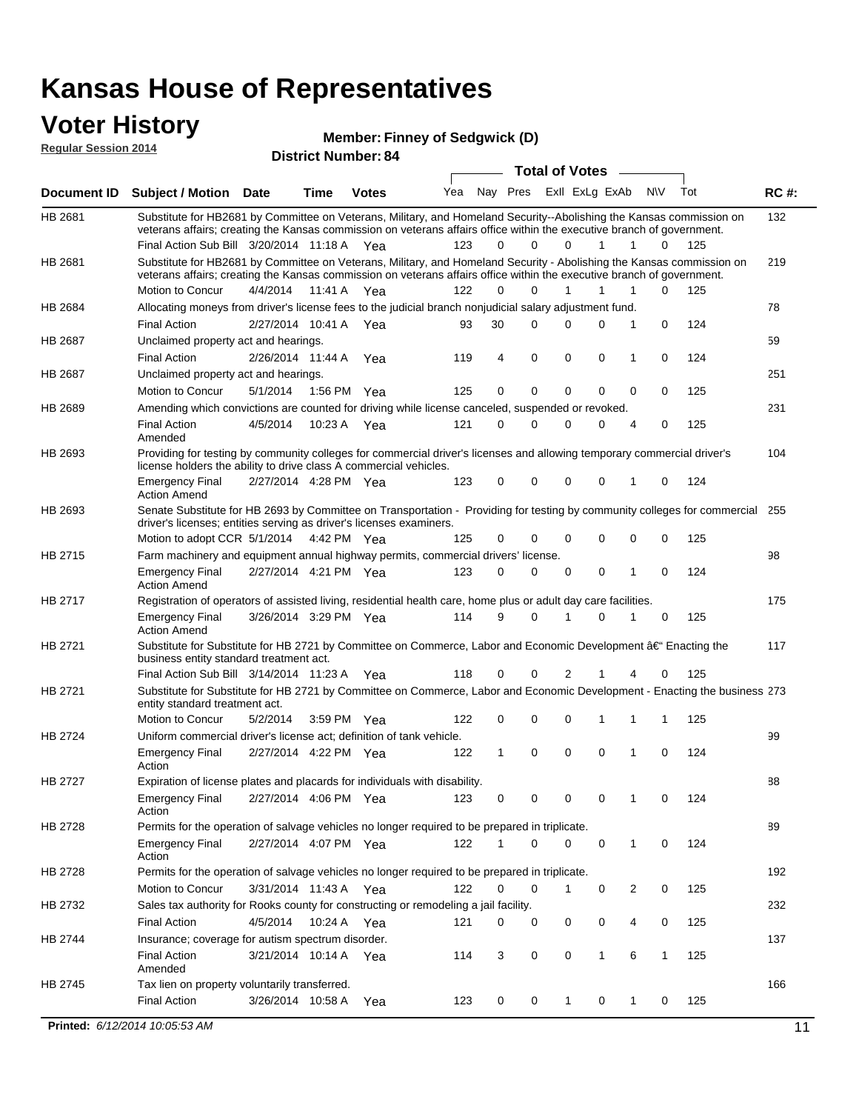#### **Voter History Regular Session 2014**

**Member: Finney of Sedgwick (D)** 

| nuyurur Uuddiun Luin |                                                                                                                                                                                                                                                                                               | <b>District Number: 84</b> |         |                       |     | Total of Votes – |          |              |                |   |              |     |             |
|----------------------|-----------------------------------------------------------------------------------------------------------------------------------------------------------------------------------------------------------------------------------------------------------------------------------------------|----------------------------|---------|-----------------------|-----|------------------|----------|--------------|----------------|---|--------------|-----|-------------|
|                      |                                                                                                                                                                                                                                                                                               |                            |         |                       |     |                  |          |              |                |   |              |     |             |
| <b>Document ID</b>   | Subject / Motion Date                                                                                                                                                                                                                                                                         |                            | Time    | <b>Votes</b>          | Yea |                  | Nay Pres |              | Exll ExLg ExAb |   | N\V          | Tot | <b>RC#:</b> |
| HB 2681              | Substitute for HB2681 by Committee on Veterans, Military, and Homeland Security--Abolishing the Kansas commission on<br>veterans affairs; creating the Kansas commission on veterans affairs office within the executive branch of government.<br>Final Action Sub Bill 3/20/2014 11:18 A Yea |                            |         |                       | 123 | 0                | $\Omega$ | 0            | 1              | 1 | 0            | 125 | 132         |
| HB 2681              | Substitute for HB2681 by Committee on Veterans, Military, and Homeland Security - Abolishing the Kansas commission on                                                                                                                                                                         |                            |         |                       |     |                  |          |              |                |   |              |     | 219         |
|                      | veterans affairs; creating the Kansas commission on veterans affairs office within the executive branch of government.<br>Motion to Concur                                                                                                                                                    | 4/4/2014                   | 11:41 A | Yea                   | 122 | $\Omega$         | $\Omega$ | 1            | 1              | 1 | $\Omega$     | 125 |             |
| HB 2684              | Allocating moneys from driver's license fees to the judicial branch nonjudicial salary adjustment fund.                                                                                                                                                                                       |                            |         |                       |     |                  |          |              |                |   |              |     | 78          |
|                      | <b>Final Action</b>                                                                                                                                                                                                                                                                           | 2/27/2014 10:41 A          |         | Yea                   | 93  | 30               | $\Omega$ | 0            | $\Omega$       | 1 | 0            | 124 |             |
| HB 2687              | Unclaimed property act and hearings.                                                                                                                                                                                                                                                          |                            |         |                       |     |                  |          |              |                |   |              |     | 59          |
|                      | <b>Final Action</b>                                                                                                                                                                                                                                                                           | 2/26/2014 11:44 A          |         | Yea                   | 119 | 4                | 0        | 0            | 0              | 1 | 0            | 124 |             |
| HB 2687              | Unclaimed property act and hearings.                                                                                                                                                                                                                                                          |                            |         |                       |     |                  |          |              |                |   |              |     | 251         |
|                      | Motion to Concur                                                                                                                                                                                                                                                                              | 5/1/2014                   |         | 1:56 PM Yea           | 125 | $\mathbf 0$      | 0        | 0            | 0              | 0 | 0            | 125 |             |
| HB 2689              | Amending which convictions are counted for driving while license canceled, suspended or revoked.                                                                                                                                                                                              |                            |         |                       |     |                  |          |              |                |   |              |     | 231         |
|                      | <b>Final Action</b><br>Amended                                                                                                                                                                                                                                                                | 4/5/2014                   | 10:23 A | Yea                   | 121 | 0                | $\Omega$ | 0            | $\Omega$       | 4 | 0            | 125 |             |
| HB 2693              | Providing for testing by community colleges for commercial driver's licenses and allowing temporary commercial driver's<br>license holders the ability to drive class A commercial vehicles.                                                                                                  |                            |         |                       |     |                  |          |              |                |   |              |     | 104         |
|                      | <b>Emergency Final</b><br><b>Action Amend</b>                                                                                                                                                                                                                                                 | 2/27/2014 4:28 PM Yea      |         |                       | 123 | 0                | $\Omega$ | 0            | 0              | 1 | 0            | 124 |             |
| HB 2693              | Senate Substitute for HB 2693 by Committee on Transportation - Providing for testing by community colleges for commercial 255<br>driver's licenses; entities serving as driver's licenses examiners.                                                                                          |                            |         |                       |     |                  |          |              |                |   |              |     |             |
|                      | Motion to adopt CCR 5/1/2014 4:42 PM Yea                                                                                                                                                                                                                                                      |                            |         |                       | 125 | 0                | 0        | 0            | 0              | 0 | 0            | 125 |             |
| HB 2715              | Farm machinery and equipment annual highway permits, commercial drivers' license.                                                                                                                                                                                                             |                            |         |                       |     |                  |          |              |                |   |              |     | 98          |
|                      | <b>Emergency Final</b><br><b>Action Amend</b>                                                                                                                                                                                                                                                 | 2/27/2014 4:21 PM Yea      |         |                       | 123 | 0                | $\Omega$ | 0            | 0              | 1 | 0            | 124 |             |
| HB 2717              | Registration of operators of assisted living, residential health care, home plus or adult day care facilities.                                                                                                                                                                                |                            |         |                       |     |                  |          |              |                |   |              |     | 175         |
|                      | <b>Emergency Final</b><br><b>Action Amend</b>                                                                                                                                                                                                                                                 | 3/26/2014 3:29 PM Yea      |         |                       | 114 | 9                | $\Omega$ |              | 0              | 1 | 0            | 125 |             |
| HB 2721              | Substitute for Substitute for HB 2721 by Committee on Commerce, Labor and Economic Development †Enacting the<br>business entity standard treatment act.                                                                                                                                       |                            |         |                       |     |                  |          |              |                |   |              |     | 117         |
|                      | Final Action Sub Bill 3/14/2014 11:23 A Yea                                                                                                                                                                                                                                                   |                            |         |                       | 118 | 0                | 0        | 2            |                | 4 | 0            | 125 |             |
| HB 2721              | Substitute for Substitute for HB 2721 by Committee on Commerce, Labor and Economic Development - Enacting the business 273<br>entity standard treatment act.                                                                                                                                  |                            |         |                       |     |                  |          |              |                |   |              |     |             |
|                      | Motion to Concur                                                                                                                                                                                                                                                                              | 5/2/2014                   |         | 3:59 PM Yea           | 122 | 0                | 0        | 0            | 1              | 1 | 1            | 125 |             |
| HB 2724              | Uniform commercial driver's license act; definition of tank vehicle.                                                                                                                                                                                                                          |                            |         |                       |     |                  |          |              |                |   |              |     | 99          |
|                      | <b>Emergency Final</b><br>Action                                                                                                                                                                                                                                                              | 2/27/2014 4:22 PM Yea      |         |                       | 122 | 1                | 0        | $\mathbf 0$  | 0              | 1 | 0            | 124 |             |
| HB 2727              | Expiration of license plates and placards for individuals with disability.                                                                                                                                                                                                                    |                            |         |                       |     |                  |          |              |                |   |              |     | 88          |
|                      | <b>Emergency Final</b><br>Action                                                                                                                                                                                                                                                              |                            |         | 2/27/2014 4:06 PM Yea | 123 | 0                | 0        | 0            | 0              | 1 | 0            | 124 |             |
| HB 2728              | Permits for the operation of salvage vehicles no longer required to be prepared in triplicate.                                                                                                                                                                                                |                            |         |                       |     |                  |          |              |                |   |              |     | 89          |
|                      | <b>Emergency Final</b><br>Action                                                                                                                                                                                                                                                              | 2/27/2014 4:07 PM Yea      |         |                       | 122 | 1                | 0        | 0            | 0              | 1 | 0            | 124 |             |
| HB 2728              | Permits for the operation of salvage vehicles no longer required to be prepared in triplicate.                                                                                                                                                                                                |                            |         |                       |     |                  |          |              |                |   |              |     | 192         |
|                      | <b>Motion to Concur</b>                                                                                                                                                                                                                                                                       | 3/31/2014 11:43 A Yea      |         |                       | 122 | 0                | 0        | 1            | 0              | 2 | 0            | 125 |             |
| HB 2732              | Sales tax authority for Rooks county for constructing or remodeling a jail facility.                                                                                                                                                                                                          |                            |         |                       |     |                  |          |              |                |   |              |     | 232         |
|                      | <b>Final Action</b>                                                                                                                                                                                                                                                                           | 4/5/2014                   |         | 10:24 A Yea           | 121 | 0                | 0        | 0            | 0              | 4 | 0            | 125 |             |
| HB 2744              | Insurance; coverage for autism spectrum disorder.                                                                                                                                                                                                                                             |                            |         |                       |     |                  |          |              |                |   |              |     | 137         |
|                      | <b>Final Action</b>                                                                                                                                                                                                                                                                           | 3/21/2014 10:14 A Yea      |         |                       | 114 | 3                | 0        | 0            | $\mathbf{1}$   | 6 | $\mathbf{1}$ | 125 |             |
|                      | Amended                                                                                                                                                                                                                                                                                       |                            |         |                       |     |                  |          |              |                |   |              |     |             |
| HB 2745              | Tax lien on property voluntarily transferred.<br><b>Final Action</b>                                                                                                                                                                                                                          | 3/26/2014 10:58 A          |         | Yea                   | 123 | 0                | 0        | $\mathbf{1}$ | 0              | 1 | 0            | 125 | 166         |
|                      |                                                                                                                                                                                                                                                                                               |                            |         |                       |     |                  |          |              |                |   |              |     |             |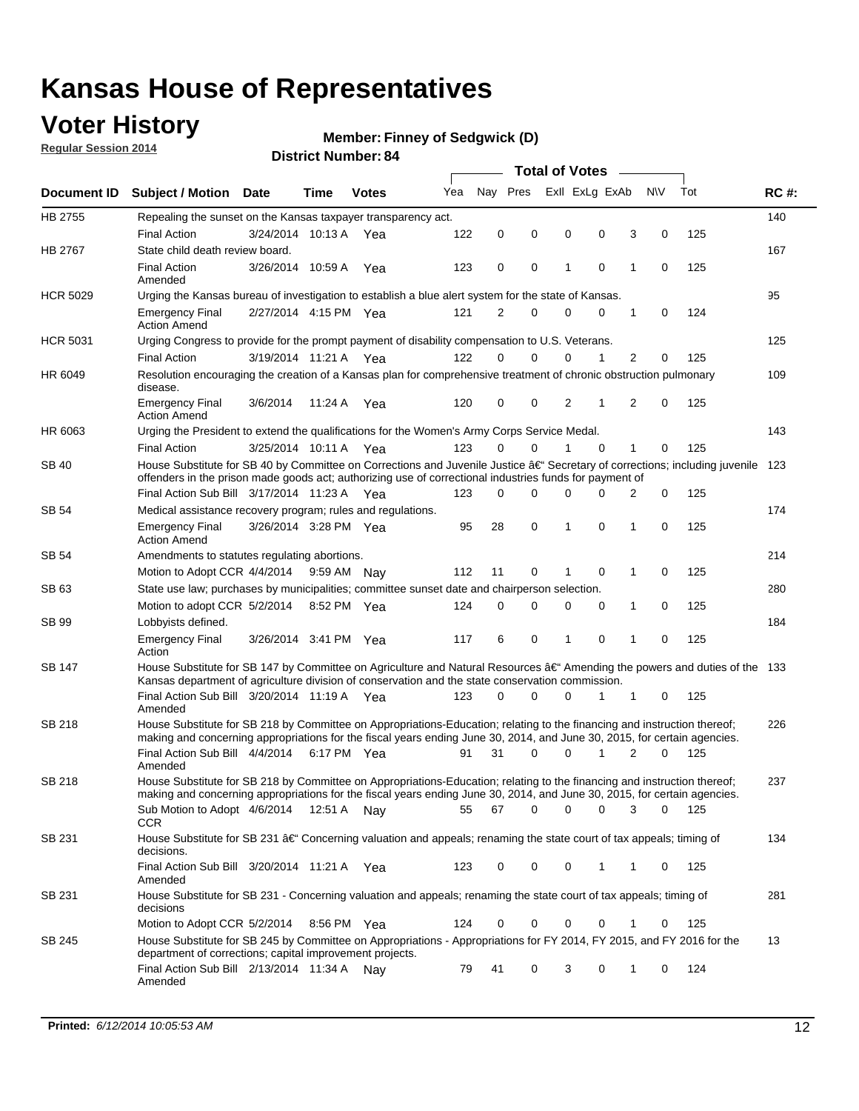### **Voter History**

**Regular Session 2014**

#### **Member: Finney of Sedgwick (D)**

|                    |                                                                                                                                                                                                                                      |                       |             |              |     | <b>Total of Votes</b> |          |   |                |          |   |             |     |             |
|--------------------|--------------------------------------------------------------------------------------------------------------------------------------------------------------------------------------------------------------------------------------|-----------------------|-------------|--------------|-----|-----------------------|----------|---|----------------|----------|---|-------------|-----|-------------|
| <b>Document ID</b> | <b>Subject / Motion</b>                                                                                                                                                                                                              | <b>Date</b>           | Time        | <b>Votes</b> | Yea | Nay Pres              |          |   | Exll ExLg ExAb |          |   | <b>NV</b>   | Tot | <b>RC#:</b> |
| HB 2755            | Repealing the sunset on the Kansas taxpayer transparency act.                                                                                                                                                                        |                       |             |              |     |                       |          |   |                |          |   |             |     | 140         |
|                    | <b>Final Action</b>                                                                                                                                                                                                                  | 3/24/2014 10:13 A     |             | Yea          | 122 | 0                     | 0        |   | 0              | 0        | 3 | 0           | 125 |             |
| HB 2767            | State child death review board.                                                                                                                                                                                                      |                       |             |              |     |                       |          |   |                |          |   |             |     | 167         |
|                    | <b>Final Action</b><br>Amended                                                                                                                                                                                                       | 3/26/2014 10:59 A     |             | Yea          | 123 | $\mathbf 0$           | 0        | 1 |                | 0        | 1 | 0           | 125 |             |
| <b>HCR 5029</b>    | Urging the Kansas bureau of investigation to establish a blue alert system for the state of Kansas.                                                                                                                                  |                       |             |              |     |                       |          |   |                |          |   |             |     | 95          |
|                    | <b>Emergency Final</b><br><b>Action Amend</b>                                                                                                                                                                                        | 2/27/2014 4:15 PM Yea |             |              | 121 | 2                     | 0        |   | 0              | 0        | 1 | 0           | 124 |             |
| <b>HCR 5031</b>    | Urging Congress to provide for the prompt payment of disability compensation to U.S. Veterans.                                                                                                                                       |                       |             |              |     |                       |          |   |                |          |   |             |     | 125         |
|                    | <b>Final Action</b>                                                                                                                                                                                                                  | 3/19/2014 11:21 A Yea |             |              | 122 | $\Omega$              | 0        |   | 0              | 1        | 2 | 0           | 125 |             |
| HR 6049            | Resolution encouraging the creation of a Kansas plan for comprehensive treatment of chronic obstruction pulmonary<br>disease.                                                                                                        |                       |             |              |     |                       |          |   |                |          |   |             |     | 109         |
|                    | <b>Emergency Final</b><br><b>Action Amend</b>                                                                                                                                                                                        | 3/6/2014              | 11:24 A     | Yea          | 120 | 0                     | 0        |   | 2              | 1        | 2 | 0           | 125 |             |
| HR 6063            | Urging the President to extend the qualifications for the Women's Army Corps Service Medal.                                                                                                                                          |                       |             |              |     |                       |          |   |                |          |   |             |     | 143         |
|                    | <b>Final Action</b>                                                                                                                                                                                                                  | 3/25/2014 10:11 A Yea |             |              | 123 | $\Omega$              | $\Omega$ | 1 |                | $\Omega$ | 1 | 0           | 125 |             |
| SB 40              | House Substitute for SB 40 by Committee on Corrections and Juvenile Justice †Secretary of corrections; including juvenile<br>offenders in the prison made goods act; authorizing use of correctional industries funds for payment of |                       |             |              |     |                       |          |   |                |          |   |             |     | 123         |
|                    | Final Action Sub Bill 3/17/2014 11:23 A Yea                                                                                                                                                                                          |                       |             |              | 123 | 0                     | 0        |   | 0              | 0        | 2 | 0           | 125 |             |
| SB 54              | Medical assistance recovery program; rules and regulations.                                                                                                                                                                          |                       |             |              |     |                       |          |   |                |          |   |             |     | 174         |
|                    | <b>Emergency Final</b><br><b>Action Amend</b>                                                                                                                                                                                        | 3/26/2014 3:28 PM Yea |             |              | 95  | 28                    | 0        | 1 |                | 0        | 1 | $\mathbf 0$ | 125 |             |
| <b>SB 54</b>       | Amendments to statutes regulating abortions.                                                                                                                                                                                         |                       |             |              |     |                       |          |   |                |          |   |             |     | 214         |
|                    | Motion to Adopt CCR 4/4/2014                                                                                                                                                                                                         |                       | 9:59 AM Nay |              | 112 | 11                    | 0        | 1 |                | 0        | 1 | 0           | 125 |             |
| SB 63              | State use law; purchases by municipalities; committee sunset date and chairperson selection.                                                                                                                                         |                       |             |              |     |                       |          |   |                |          |   |             |     | 280         |
|                    | Motion to adopt CCR 5/2/2014                                                                                                                                                                                                         |                       | 8:52 PM Yea |              | 124 | $\mathbf 0$           | 0        |   | 0              | 0        | 1 | 0           | 125 |             |
| <b>SB 99</b>       | Lobbyists defined.                                                                                                                                                                                                                   |                       |             |              |     |                       |          |   |                |          |   |             |     | 184         |
|                    | <b>Emergency Final</b><br>Action                                                                                                                                                                                                     | 3/26/2014 3:41 PM Yea |             |              | 117 | 6                     | 0        | 1 |                | 0        | 1 | 0           | 125 |             |
| SB 147             | House Substitute for SB 147 by Committee on Agriculture and Natural Resources †Amending the powers and duties of the 133<br>Kansas department of agriculture division of conservation and the state conservation commission.         |                       |             |              |     |                       |          |   |                |          |   |             |     |             |
|                    | Final Action Sub Bill 3/20/2014 11:19 A Yea<br>Amended                                                                                                                                                                               |                       |             |              | 123 | 0                     | 0        |   | 0              | 1        | 1 | 0           | 125 |             |
| <b>SB 218</b>      | House Substitute for SB 218 by Committee on Appropriations-Education; relating to the financing and instruction thereof;                                                                                                             |                       |             |              |     |                       |          |   |                |          |   |             |     | 226         |
|                    | making and concerning appropriations for the fiscal years ending June 30, 2014, and June 30, 2015, for certain agencies.<br>Final Action Sub Bill 4/4/2014 6:17 PM Yea                                                               |                       |             |              | 91  | 31                    | 0        |   | 0              | 1        | 2 | 0           | 125 |             |
|                    | Amended                                                                                                                                                                                                                              |                       |             |              |     |                       |          |   |                |          |   |             |     |             |
| <b>SB 218</b>      | House Substitute for SB 218 by Committee on Appropriations-Education; relating to the financing and instruction thereof;                                                                                                             |                       |             |              |     |                       |          |   |                |          |   |             |     | 237         |
|                    | making and concerning appropriations for the fiscal years ending June 30, 2014, and June 30, 2015, for certain agencies.                                                                                                             |                       |             |              |     |                       |          |   |                |          |   |             |     |             |
|                    | Sub Motion to Adopt 4/6/2014 12:51 A Nay                                                                                                                                                                                             |                       |             |              | 55  | 67                    | 0        |   | 0              | 0        | 3 | 0           | 125 |             |
| SB 231             | <b>CCR</b><br>House Substitute for SB 231 †Concerning valuation and appeals; renaming the state court of tax appeals; timing of                                                                                                      |                       |             |              |     |                       |          |   |                |          |   |             |     | 134         |
|                    | decisions.<br>Final Action Sub Bill 3/20/2014 11:21 A Yea                                                                                                                                                                            |                       |             |              | 123 | 0                     | 0        |   | 0              | 1        | 1 | 0           | 125 |             |
|                    | Amended                                                                                                                                                                                                                              |                       |             |              |     |                       |          |   |                |          |   |             |     |             |
| SB 231             | House Substitute for SB 231 - Concerning valuation and appeals; renaming the state court of tax appeals; timing of<br>decisions                                                                                                      |                       |             |              |     |                       |          |   |                |          |   |             |     | 281         |
|                    | Motion to Adopt CCR 5/2/2014 8:56 PM Yea                                                                                                                                                                                             |                       |             |              | 124 | 0                     | 0        |   | 0              | 0        | 1 | 0           | 125 |             |
| SB 245             | House Substitute for SB 245 by Committee on Appropriations - Appropriations for FY 2014, FY 2015, and FY 2016 for the<br>department of corrections; capital improvement projects.                                                    |                       |             |              |     |                       |          |   |                |          |   |             |     | 13          |
|                    | Final Action Sub Bill 2/13/2014 11:34 A Nay<br>Amended                                                                                                                                                                               |                       |             |              | 79  | 41                    | 0        |   | 3              | 0        | 1 | 0           | 124 |             |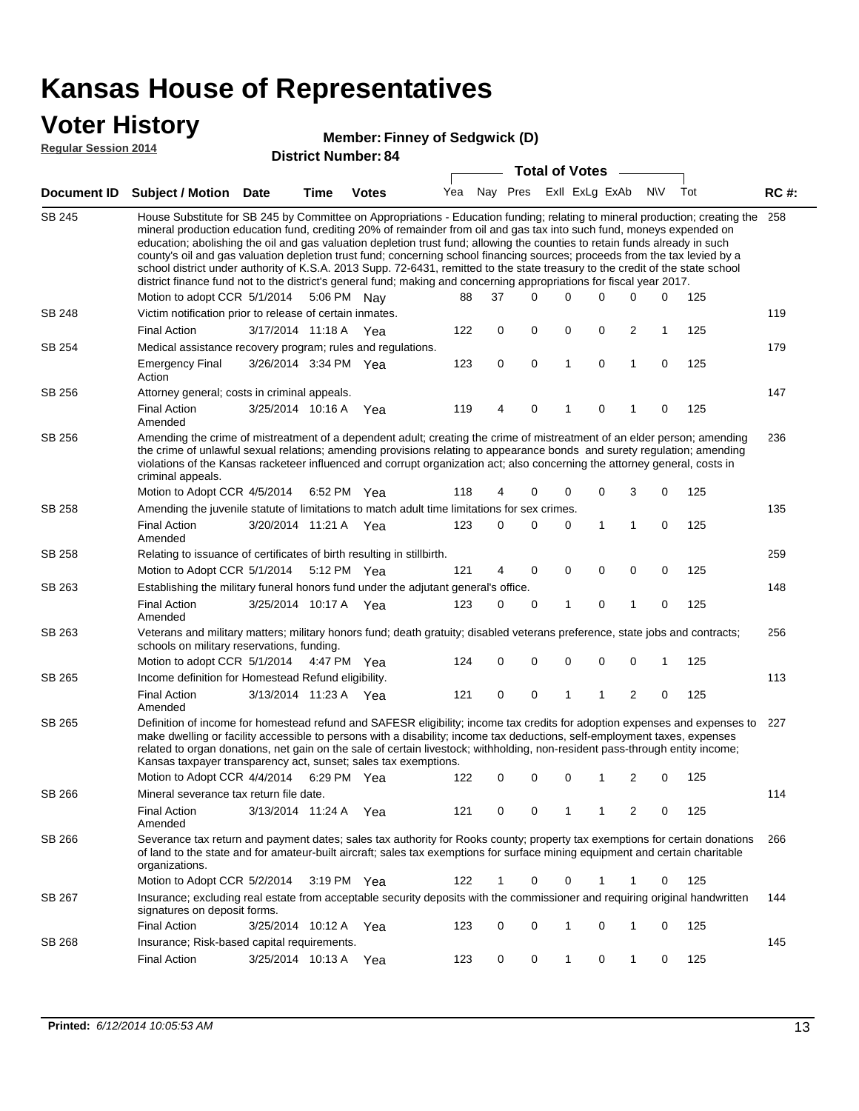### **Voter History**

#### **Member: Finney of Sedgwick (D)**

**Regular Session 2014**

| <b>District Number: 84</b> |  |  |
|----------------------------|--|--|

|               |                                                                                                                                                                                                                                                                                                                                                                                                                                                                                                                                                                                                                                                                                                                                                                                                               |                       |      | DISTICT MAILIDEL 04 |     |             |   | <b>Total of Votes</b> |              |                |              |              |     |             |
|---------------|---------------------------------------------------------------------------------------------------------------------------------------------------------------------------------------------------------------------------------------------------------------------------------------------------------------------------------------------------------------------------------------------------------------------------------------------------------------------------------------------------------------------------------------------------------------------------------------------------------------------------------------------------------------------------------------------------------------------------------------------------------------------------------------------------------------|-----------------------|------|---------------------|-----|-------------|---|-----------------------|--------------|----------------|--------------|--------------|-----|-------------|
|               | Document ID Subject / Motion Date                                                                                                                                                                                                                                                                                                                                                                                                                                                                                                                                                                                                                                                                                                                                                                             |                       | Time | <b>Votes</b>        | Yea | Nay Pres    |   |                       |              | Exll ExLg ExAb |              | <b>NV</b>    | Tot | <b>RC#:</b> |
| <b>SB 245</b> | House Substitute for SB 245 by Committee on Appropriations - Education funding; relating to mineral production; creating the<br>mineral production education fund, crediting 20% of remainder from oil and gas tax into such fund, moneys expended on<br>education; abolishing the oil and gas valuation depletion trust fund; allowing the counties to retain funds already in such<br>county's oil and gas valuation depletion trust fund; concerning school financing sources; proceeds from the tax levied by a<br>school district under authority of K.S.A. 2013 Supp. 72-6431, remitted to the state treasury to the credit of the state school<br>district finance fund not to the district's general fund; making and concerning appropriations for fiscal year 2017.<br>Motion to adopt CCR 5/1/2014 |                       |      | 5:06 PM Nay         | 88  | 37          |   | $\Omega$              | 0            | 0              | 0            | 0            | 125 | 258         |
| SB 248        | Victim notification prior to release of certain inmates.                                                                                                                                                                                                                                                                                                                                                                                                                                                                                                                                                                                                                                                                                                                                                      |                       |      |                     |     |             |   |                       |              |                |              |              |     | 119         |
|               | <b>Final Action</b>                                                                                                                                                                                                                                                                                                                                                                                                                                                                                                                                                                                                                                                                                                                                                                                           | 3/17/2014 11:18 A Yea |      |                     | 122 |             | 0 | 0                     | 0            | 0              | 2            | $\mathbf{1}$ | 125 |             |
| SB 254        | Medical assistance recovery program; rules and regulations.                                                                                                                                                                                                                                                                                                                                                                                                                                                                                                                                                                                                                                                                                                                                                   |                       |      |                     |     |             |   |                       |              |                |              |              |     | 179         |
|               | <b>Emergency Final</b><br>Action                                                                                                                                                                                                                                                                                                                                                                                                                                                                                                                                                                                                                                                                                                                                                                              | 3/26/2014 3:34 PM Yea |      |                     | 123 |             | 0 | $\mathbf 0$           | $\mathbf{1}$ | 0              | $\mathbf{1}$ | 0            | 125 |             |
| SB 256        | Attorney general; costs in criminal appeals.                                                                                                                                                                                                                                                                                                                                                                                                                                                                                                                                                                                                                                                                                                                                                                  |                       |      |                     |     |             |   |                       |              |                |              |              |     | 147         |
|               | <b>Final Action</b><br>Amended                                                                                                                                                                                                                                                                                                                                                                                                                                                                                                                                                                                                                                                                                                                                                                                | 3/25/2014 10:16 A     |      | Yea                 | 119 | 4           |   | 0                     | 1            | 0              | 1            | 0            | 125 |             |
| SB 256        | Amending the crime of mistreatment of a dependent adult; creating the crime of mistreatment of an elder person; amending<br>the crime of unlawful sexual relations; amending provisions relating to appearance bonds and surety regulation; amending<br>violations of the Kansas racketeer influenced and corrupt organization act; also concerning the attorney general, costs in<br>criminal appeals.                                                                                                                                                                                                                                                                                                                                                                                                       |                       |      |                     | 118 | 4           |   | 0                     | 0            | 0              | 3            | 0            | 125 | 236         |
| SB 258        | Motion to Adopt CCR 4/5/2014 6:52 PM Yea<br>Amending the juvenile statute of limitations to match adult time limitations for sex crimes.                                                                                                                                                                                                                                                                                                                                                                                                                                                                                                                                                                                                                                                                      |                       |      |                     |     |             |   |                       |              |                |              |              |     | 135         |
|               | <b>Final Action</b><br>Amended                                                                                                                                                                                                                                                                                                                                                                                                                                                                                                                                                                                                                                                                                                                                                                                | 3/20/2014 11:21 A Yea |      |                     | 123 | 0           |   | 0                     | 0            | 1              | 1            | 0            | 125 |             |
| SB 258        | Relating to issuance of certificates of birth resulting in stillbirth.                                                                                                                                                                                                                                                                                                                                                                                                                                                                                                                                                                                                                                                                                                                                        |                       |      |                     |     |             |   |                       |              |                |              |              |     | 259         |
|               | Motion to Adopt CCR 5/1/2014 5:12 PM Yea                                                                                                                                                                                                                                                                                                                                                                                                                                                                                                                                                                                                                                                                                                                                                                      |                       |      |                     | 121 |             | 4 | 0                     | 0            | $\mathbf 0$    | 0            | 0            | 125 |             |
| SB 263        | Establishing the military funeral honors fund under the adjutant general's office.                                                                                                                                                                                                                                                                                                                                                                                                                                                                                                                                                                                                                                                                                                                            |                       |      |                     |     |             |   |                       |              |                |              |              |     | 148         |
|               | <b>Final Action</b><br>Amended                                                                                                                                                                                                                                                                                                                                                                                                                                                                                                                                                                                                                                                                                                                                                                                | 3/25/2014 10:17 A Yea |      |                     | 123 |             | 0 | 0                     | 1            | 0              | 1            | $\mathbf 0$  | 125 |             |
| SB 263        | Veterans and military matters; military honors fund; death gratuity; disabled veterans preference, state jobs and contracts;<br>schools on military reservations, funding.                                                                                                                                                                                                                                                                                                                                                                                                                                                                                                                                                                                                                                    |                       |      |                     |     |             |   |                       |              |                |              |              |     | 256         |
|               | Motion to adopt CCR 5/1/2014 4:47 PM Yea                                                                                                                                                                                                                                                                                                                                                                                                                                                                                                                                                                                                                                                                                                                                                                      |                       |      |                     | 124 | 0           |   | 0                     | 0            | 0              | 0            | 1            | 125 |             |
| SB 265        | Income definition for Homestead Refund eligibility.                                                                                                                                                                                                                                                                                                                                                                                                                                                                                                                                                                                                                                                                                                                                                           |                       |      |                     |     |             |   |                       |              |                |              |              |     | 113         |
|               | Final Action<br>Amended                                                                                                                                                                                                                                                                                                                                                                                                                                                                                                                                                                                                                                                                                                                                                                                       | 3/13/2014 11:23 A Yea |      |                     | 121 |             | 0 | $\pmb{0}$             | 1            | 1              | 2            | 0            | 125 |             |
| SB 265        | Definition of income for homestead refund and SAFESR eligibility; income tax credits for adoption expenses and expenses to<br>make dwelling or facility accessible to persons with a disability; income tax deductions, self-employment taxes, expenses<br>related to organ donations, net gain on the sale of certain livestock; withholding, non-resident pass-through entity income;<br>Kansas taxpayer transparency act, sunset; sales tax exemptions.<br>Motion to Adopt CCR 4/4/2014 6:29 PM Yea                                                                                                                                                                                                                                                                                                        |                       |      |                     | 122 |             | 0 | 0                     | 0            | 1              | 2            | 0            | 125 | 227         |
| <b>SB 266</b> | Mineral severance tax return file date.                                                                                                                                                                                                                                                                                                                                                                                                                                                                                                                                                                                                                                                                                                                                                                       |                       |      |                     |     |             |   |                       |              |                |              |              |     | 114         |
|               | <b>Final Action</b><br>Amended                                                                                                                                                                                                                                                                                                                                                                                                                                                                                                                                                                                                                                                                                                                                                                                | 3/13/2014 11:24 A     |      | Yea                 | 121 |             | 0 | 0                     | 1            | 1              | 2            | 0            | 125 |             |
| SB 266        | Severance tax return and payment dates; sales tax authority for Rooks county; property tax exemptions for certain donations<br>of land to the state and for amateur-built aircraft; sales tax exemptions for surface mining equipment and certain charitable<br>organizations.                                                                                                                                                                                                                                                                                                                                                                                                                                                                                                                                |                       |      |                     |     |             |   |                       |              |                |              |              |     | 266         |
|               | Motion to Adopt CCR 5/2/2014                                                                                                                                                                                                                                                                                                                                                                                                                                                                                                                                                                                                                                                                                                                                                                                  |                       |      | 3:19 PM Yea         | 122 | $\mathbf 1$ |   | 0                     | 0            | 1              | 1            | 0            | 125 |             |
| SB 267        | Insurance; excluding real estate from acceptable security deposits with the commissioner and requiring original handwritten<br>signatures on deposit forms.                                                                                                                                                                                                                                                                                                                                                                                                                                                                                                                                                                                                                                                   |                       |      |                     |     |             |   |                       |              |                |              |              |     | 144         |
|               | <b>Final Action</b>                                                                                                                                                                                                                                                                                                                                                                                                                                                                                                                                                                                                                                                                                                                                                                                           | 3/25/2014 10:12 A     |      | Yea                 | 123 |             | 0 | 0                     | 1            | 0              | 1            | 0            | 125 |             |
| SB 268        | Insurance; Risk-based capital requirements.                                                                                                                                                                                                                                                                                                                                                                                                                                                                                                                                                                                                                                                                                                                                                                   |                       |      |                     |     |             |   |                       |              |                |              |              |     | 145         |
|               | <b>Final Action</b>                                                                                                                                                                                                                                                                                                                                                                                                                                                                                                                                                                                                                                                                                                                                                                                           | 3/25/2014 10:13 A     |      | Yea                 | 123 |             | 0 | 0                     | 1            | 0              | 1            | 0            | 125 |             |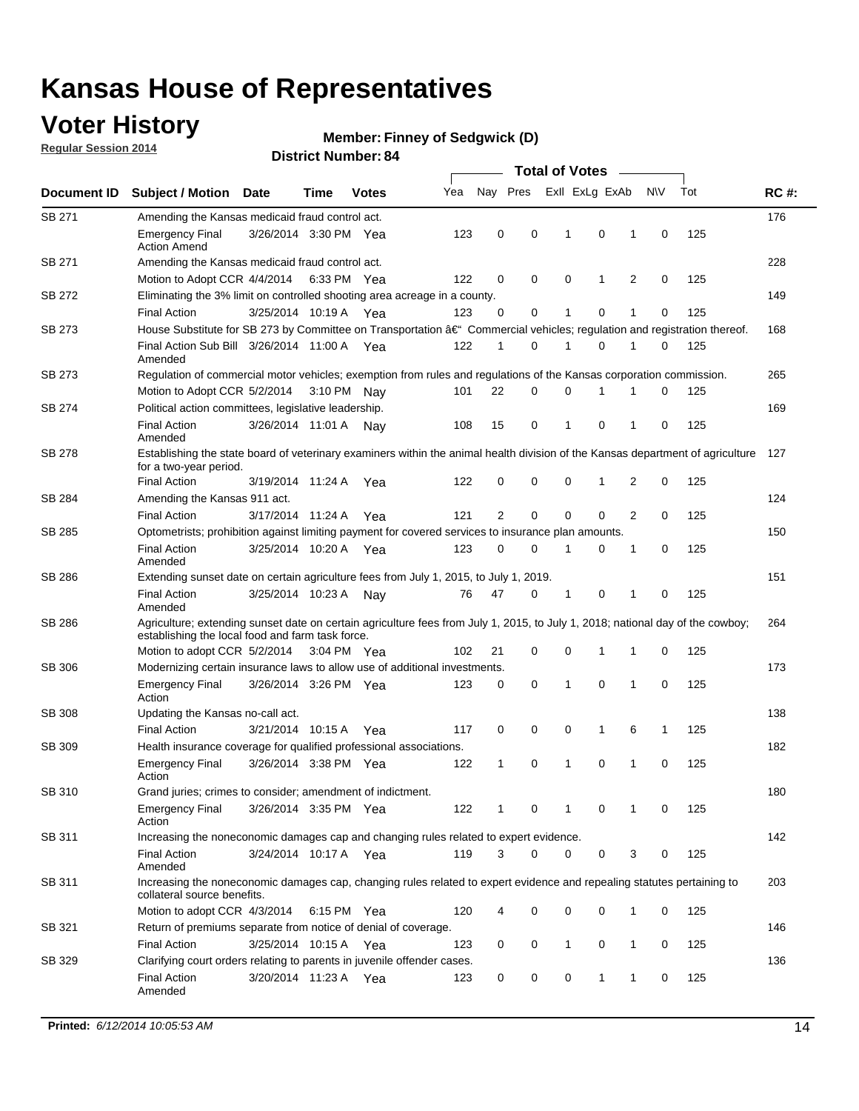### **Voter History**

**Regular Session 2014**

#### **Member: Finney of Sedgwick (D)**

| Document ID<br><b>Subject / Motion</b><br>SB 271<br>Amending the Kansas medicaid fraud control act.<br><b>Emergency Final</b><br><b>Action Amend</b><br>SB 271<br>Amending the Kansas medicaid fraud control act.<br>Motion to Adopt CCR 4/4/2014 6:33 PM Yea | <b>Date</b><br>3/26/2014 3:30 PM Yea<br>3/25/2014 10:19 A | Time        | <b>Votes</b> | Yea<br>123 | Nay Pres<br>0  | 0 | Exll ExLg ExAb<br>1 | $\mathbf 0$  |                | N\V         | Tot | <b>RC#:</b><br>176 |
|---------------------------------------------------------------------------------------------------------------------------------------------------------------------------------------------------------------------------------------------------------------|-----------------------------------------------------------|-------------|--------------|------------|----------------|---|---------------------|--------------|----------------|-------------|-----|--------------------|
|                                                                                                                                                                                                                                                               |                                                           |             |              |            |                |   |                     |              |                |             |     |                    |
|                                                                                                                                                                                                                                                               |                                                           |             |              |            |                |   |                     |              |                |             |     |                    |
|                                                                                                                                                                                                                                                               |                                                           |             |              |            |                |   |                     |              | 1              | $\mathbf 0$ | 125 |                    |
|                                                                                                                                                                                                                                                               |                                                           |             |              |            |                |   |                     |              |                |             |     | 228                |
|                                                                                                                                                                                                                                                               |                                                           |             |              | 122        | 0              | 0 | 0                   | $\mathbf{1}$ | $\overline{2}$ | 0           | 125 |                    |
| SB 272<br>Eliminating the 3% limit on controlled shooting area acreage in a county.                                                                                                                                                                           |                                                           |             |              |            |                |   |                     |              |                |             |     | 149                |
| <b>Final Action</b>                                                                                                                                                                                                                                           |                                                           |             | Yea          | 123        | $\Omega$       | 0 | 1                   | 0            | 1              | $\Omega$    | 125 |                    |
| House Substitute for SB 273 by Committee on Transportation â€ <sup>4</sup> Commercial vehicles; regulation and registration thereof.<br>SB 273                                                                                                                |                                                           |             |              |            |                |   |                     |              |                |             |     | 168                |
| Final Action Sub Bill 3/26/2014 11:00 A Yea<br>Amended                                                                                                                                                                                                        |                                                           |             |              | 122        | 1              | 0 | 1                   | 0            | 1              | 0           | 125 |                    |
| SB 273<br>Regulation of commercial motor vehicles; exemption from rules and regulations of the Kansas corporation commission.                                                                                                                                 |                                                           |             |              |            |                |   |                     |              |                |             |     | 265                |
| Motion to Adopt CCR 5/2/2014                                                                                                                                                                                                                                  |                                                           | 3:10 PM Nav |              | 101        | 22             | 0 | 0                   | 1            |                | 0           | 125 |                    |
| SB 274<br>Political action committees, legislative leadership.                                                                                                                                                                                                |                                                           |             |              |            |                |   |                     |              |                |             |     | 169                |
| <b>Final Action</b><br>Amended                                                                                                                                                                                                                                | 3/26/2014 11:01 A Nav                                     |             |              | 108        | 15             | 0 | 1                   | 0            | 1              | 0           | 125 |                    |
| SB 278<br>Establishing the state board of veterinary examiners within the animal health division of the Kansas department of agriculture<br>for a two-year period.                                                                                            |                                                           |             |              |            |                |   |                     |              |                |             |     | 127                |
| <b>Final Action</b>                                                                                                                                                                                                                                           | 3/19/2014 11:24 A                                         |             | Yea          | 122        | 0              | 0 | 0                   | $\mathbf{1}$ | 2              | 0           | 125 |                    |
| SB 284<br>Amending the Kansas 911 act.                                                                                                                                                                                                                        |                                                           |             |              |            |                |   |                     |              |                |             |     | 124                |
| <b>Final Action</b>                                                                                                                                                                                                                                           | 3/17/2014 11:24 A                                         |             | Yea          | 121        | $\overline{2}$ | 0 | $\mathbf 0$         | $\mathbf 0$  | $\overline{2}$ | $\mathbf 0$ | 125 |                    |
| SB 285<br>Optometrists; prohibition against limiting payment for covered services to insurance plan amounts.                                                                                                                                                  |                                                           |             |              |            |                |   |                     |              |                |             |     | 150                |
| <b>Final Action</b><br>Amended                                                                                                                                                                                                                                | 3/25/2014 10:20 A                                         |             | Yea          | 123        | 0              | 0 | 1                   | 0            | 1              | 0           | 125 |                    |
| SB 286<br>Extending sunset date on certain agriculture fees from July 1, 2015, to July 1, 2019.                                                                                                                                                               |                                                           |             |              |            |                |   |                     |              |                |             |     | 151                |
| <b>Final Action</b><br>Amended                                                                                                                                                                                                                                | 3/25/2014 10:23 A                                         |             | Nay          | 76         | 47             | 0 | 1                   | 0            | 1              | 0           | 125 |                    |
| SB 286<br>Agriculture; extending sunset date on certain agriculture fees from July 1, 2015, to July 1, 2018; national day of the cowboy;<br>establishing the local food and farm task force.                                                                  |                                                           |             |              |            |                |   |                     |              |                |             |     | 264                |
| Motion to adopt CCR 5/2/2014 3:04 PM Yea                                                                                                                                                                                                                      |                                                           |             |              | 102        | 21             | 0 | 0                   | $\mathbf 1$  | 1              | 0           | 125 |                    |
| SB 306<br>Modernizing certain insurance laws to allow use of additional investments.                                                                                                                                                                          |                                                           |             |              |            |                |   |                     |              |                |             |     | 173                |
| Emergency Final<br>Action                                                                                                                                                                                                                                     | 3/26/2014 3:26 PM Yea                                     |             |              | 123        | 0              | 0 | $\mathbf{1}$        | $\mathbf 0$  | 1              | 0           | 125 |                    |
| <b>SB 308</b><br>Updating the Kansas no-call act.                                                                                                                                                                                                             |                                                           |             |              |            |                |   |                     |              |                |             |     | 138                |
| <b>Final Action</b>                                                                                                                                                                                                                                           | 3/21/2014 10:15 A                                         |             | Yea          | 117        | 0              | 0 | 0                   | 1            | 6              | 1           | 125 |                    |
| SB 309<br>Health insurance coverage for qualified professional associations.                                                                                                                                                                                  |                                                           |             |              |            |                |   |                     |              |                |             |     | 182                |
| <b>Emergency Final</b><br>Action                                                                                                                                                                                                                              | 3/26/2014 3:38 PM Yea                                     |             |              | 122        | 1              | 0 | 1                   | 0            | 1              | $\mathbf 0$ | 125 |                    |
| SB 310<br>Grand juries; crimes to consider; amendment of indictment.                                                                                                                                                                                          |                                                           |             |              |            |                |   |                     |              |                |             |     | 180                |
| <b>Emergency Final</b><br>Action                                                                                                                                                                                                                              | 3/26/2014 3:35 PM Yea                                     |             |              | 122        | 1              | 0 | 1                   | 0            | 1              | 0           | 125 |                    |
| Increasing the noneconomic damages cap and changing rules related to expert evidence.<br>SB 311                                                                                                                                                               |                                                           |             |              |            |                |   |                     |              |                |             |     | 142                |
| <b>Final Action</b><br>Amended                                                                                                                                                                                                                                | 3/24/2014 10:17 A Yea                                     |             |              | 119        | 3              | 0 | 0                   | 0            | 3              | 0           | 125 |                    |
| SB 311<br>Increasing the noneconomic damages cap, changing rules related to expert evidence and repealing statutes pertaining to<br>collateral source benefits.                                                                                               |                                                           |             |              |            |                |   |                     |              |                |             |     | 203                |
| Motion to adopt CCR 4/3/2014                                                                                                                                                                                                                                  |                                                           | 6:15 PM Yea |              | 120        | 4              | 0 | 0                   | 0            | 1              | 0           | 125 |                    |
| SB 321<br>Return of premiums separate from notice of denial of coverage.                                                                                                                                                                                      |                                                           |             |              |            |                |   |                     |              |                |             |     | 146                |
| <b>Final Action</b>                                                                                                                                                                                                                                           | 3/25/2014 10:15 A Yea                                     |             |              | 123        | 0              | 0 | 1                   | 0            | 1              | 0           | 125 |                    |
| Clarifying court orders relating to parents in juvenile offender cases.<br>SB 329<br><b>Final Action</b><br>Amended                                                                                                                                           | 3/20/2014 11:23 A Yea                                     |             |              | 123        | 0              | 0 | 0                   | $\mathbf{1}$ | 1              | 0           | 125 | 136                |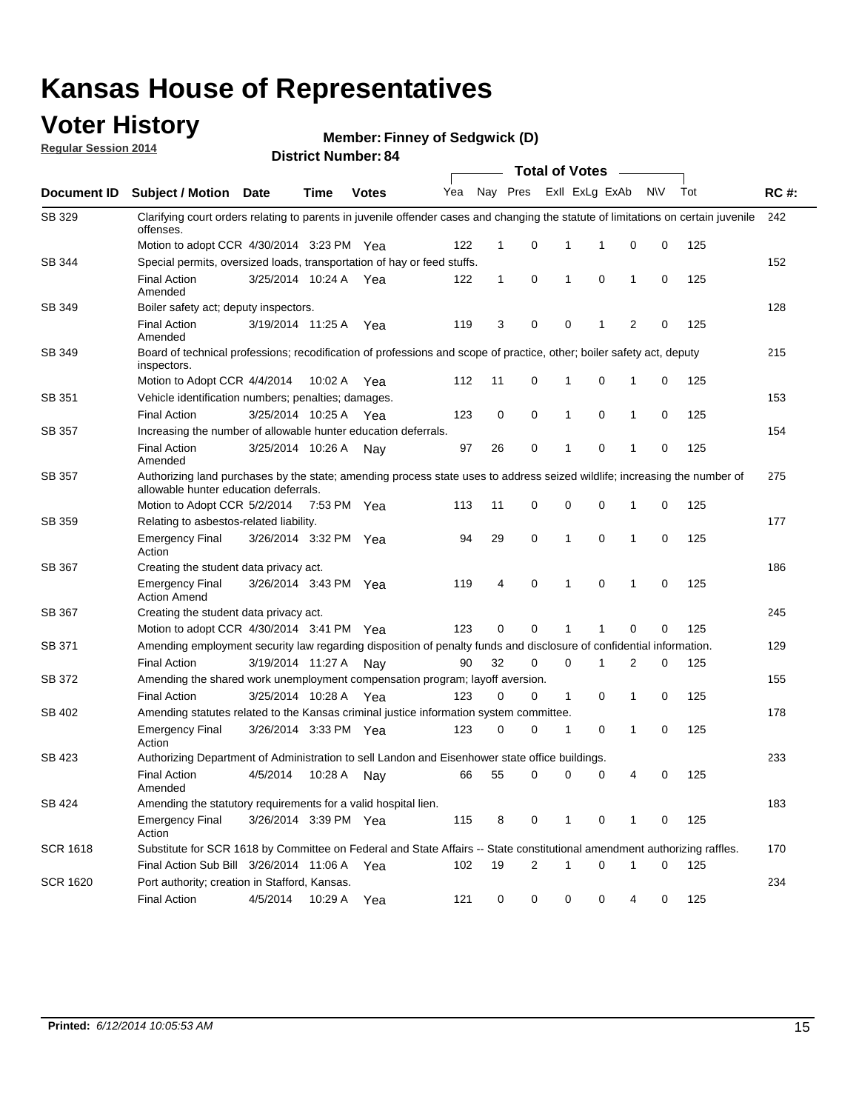### **Voter History**

**Regular Session 2014**

**Member: Finney of Sedgwick (D)** 

|                 | <b>Total of Votes</b>                                                                                                                                              |                       |             |              |     |              |                |                         |             |              |           |     |             |
|-----------------|--------------------------------------------------------------------------------------------------------------------------------------------------------------------|-----------------------|-------------|--------------|-----|--------------|----------------|-------------------------|-------------|--------------|-----------|-----|-------------|
| Document ID     | <b>Subject / Motion Date</b>                                                                                                                                       |                       | Time        | <b>Votes</b> | Yea |              |                | Nay Pres ExII ExLg ExAb |             |              | <b>NV</b> | Tot | <b>RC#:</b> |
| SB 329          | Clarifying court orders relating to parents in juvenile offender cases and changing the statute of limitations on certain juvenile<br>offenses.                    |                       |             |              |     |              |                |                         |             |              |           |     | 242         |
|                 | Motion to adopt CCR 4/30/2014 3:23 PM Yea                                                                                                                          |                       |             |              | 122 | $\mathbf 1$  | 0              | 1                       | -1          | $\mathbf 0$  | 0         | 125 |             |
| SB 344          | Special permits, oversized loads, transportation of hay or feed stuffs.                                                                                            |                       |             |              |     |              |                |                         |             |              |           |     | 152         |
|                 | <b>Final Action</b><br>Amended                                                                                                                                     | 3/25/2014 10:24 A     |             | Yea          | 122 | $\mathbf{1}$ | 0              | 1                       | $\mathbf 0$ | $\mathbf{1}$ | 0         | 125 |             |
| SB 349          | Boiler safety act; deputy inspectors.                                                                                                                              |                       |             |              |     |              |                |                         |             |              |           |     | 128         |
|                 | <b>Final Action</b><br>Amended                                                                                                                                     | 3/19/2014 11:25 A     |             | Yea          | 119 | 3            | 0              | 0                       | 1           | 2            | 0         | 125 |             |
| <b>SB 349</b>   | Board of technical professions; recodification of professions and scope of practice, other; boiler safety act, deputy<br>inspectors.                               |                       |             |              |     |              |                |                         |             |              |           |     | 215         |
|                 | Motion to Adopt CCR 4/4/2014                                                                                                                                       |                       | 10:02 A     | Yea          | 112 | 11           | 0              | 1                       | 0           | 1            | 0         | 125 |             |
| SB 351          | Vehicle identification numbers; penalties; damages.                                                                                                                |                       |             |              |     |              |                |                         |             |              |           |     | 153         |
|                 | <b>Final Action</b>                                                                                                                                                | 3/25/2014 10:25 A     |             | Yea          | 123 | 0            | 0              | $\mathbf{1}$            | 0           | 1            | 0         | 125 |             |
| <b>SB 357</b>   | Increasing the number of allowable hunter education deferrals.                                                                                                     |                       |             |              |     |              |                |                         |             |              |           |     | 154         |
|                 | <b>Final Action</b><br>Amended                                                                                                                                     | 3/25/2014 10:26 A     |             | Nav          | 97  | 26           | 0              | 1                       | 0           | 1            | 0         | 125 |             |
| SB 357          | Authorizing land purchases by the state; amending process state uses to address seized wildlife; increasing the number of<br>allowable hunter education deferrals. |                       |             |              |     |              |                |                         |             |              |           |     | 275         |
|                 | Motion to Adopt CCR 5/2/2014                                                                                                                                       |                       | 7:53 PM Yea |              | 113 | 11           | 0              | 0                       | 0           | 1            | 0         | 125 |             |
| SB 359          | Relating to asbestos-related liability.                                                                                                                            |                       |             |              |     |              |                |                         |             |              |           |     | 177         |
|                 | <b>Emergency Final</b><br>Action                                                                                                                                   | 3/26/2014 3:32 PM Yea |             |              | 94  | 29           | 0              | $\mathbf{1}$            | 0           | 1            | 0         | 125 |             |
| SB 367          | Creating the student data privacy act.                                                                                                                             |                       |             |              |     |              |                |                         |             |              |           |     | 186         |
|                 | <b>Emergency Final</b><br><b>Action Amend</b>                                                                                                                      | 3/26/2014 3:43 PM Yea |             |              | 119 | 4            | 0              | 1                       | 0           | 1            | 0         | 125 |             |
| <b>SB 367</b>   | Creating the student data privacy act.                                                                                                                             |                       |             |              |     |              |                |                         |             |              |           |     | 245         |
|                 | Motion to adopt CCR 4/30/2014 3:41 PM Yea                                                                                                                          |                       |             |              | 123 | 0            | 0              | 1                       | 1           | 0            | 0         | 125 |             |
| SB 371          | Amending employment security law regarding disposition of penalty funds and disclosure of confidential information.                                                |                       |             |              |     |              |                |                         |             |              |           |     | 129         |
|                 | <b>Final Action</b>                                                                                                                                                | 3/19/2014 11:27 A Nay |             |              | 90  | 32           | 0              | $\mathbf 0$             | 1           | 2            | 0         | 125 |             |
| SB 372          | Amending the shared work unemployment compensation program; layoff aversion.                                                                                       |                       |             |              |     |              |                |                         |             |              |           |     | 155         |
|                 | <b>Final Action</b>                                                                                                                                                | 3/25/2014 10:28 A     |             | Yea          | 123 | 0            | 0              | $\mathbf{1}$            | 0           | 1            | 0         | 125 |             |
| SB 402          | Amending statutes related to the Kansas criminal justice information system committee.                                                                             |                       |             |              |     |              |                |                         |             |              |           |     | 178         |
|                 | <b>Emergency Final</b><br>Action                                                                                                                                   | 3/26/2014 3:33 PM Yea |             |              | 123 | 0            | 0              | 1                       | 0           | 1            | 0         | 125 |             |
| SB 423          | Authorizing Department of Administration to sell Landon and Eisenhower state office buildings.                                                                     |                       |             |              |     |              |                |                         |             |              |           |     | 233         |
|                 | <b>Final Action</b><br>Amended                                                                                                                                     | 4/5/2014              | 10:28 A     | Nay          | 66  | 55           | 0              | 0                       | 0           | 4            | 0         | 125 |             |
| SB 424          | Amending the statutory requirements for a valid hospital lien.                                                                                                     |                       |             |              |     |              |                |                         |             |              |           |     | 183         |
|                 | <b>Emergency Final</b><br>Action                                                                                                                                   | 3/26/2014 3:39 PM Yea |             |              | 115 | 8            | 0              | 1                       | 0           | 1            | 0         | 125 |             |
| <b>SCR 1618</b> | Substitute for SCR 1618 by Committee on Federal and State Affairs -- State constitutional amendment authorizing raffles.                                           |                       |             |              |     |              |                |                         |             |              |           |     | 170         |
|                 | Final Action Sub Bill 3/26/2014 11:06 A Yea                                                                                                                        |                       |             |              | 102 | 19           | $\overline{2}$ | 1                       | 0           | 1            | 0         | 125 |             |
| <b>SCR 1620</b> | Port authority; creation in Stafford, Kansas.                                                                                                                      |                       |             |              |     |              |                |                         |             |              |           |     | 234         |
|                 | <b>Final Action</b>                                                                                                                                                | 4/5/2014              | 10:29 A Yea |              | 121 | 0            | 0              | 0                       | 0           | 4            | 0         | 125 |             |